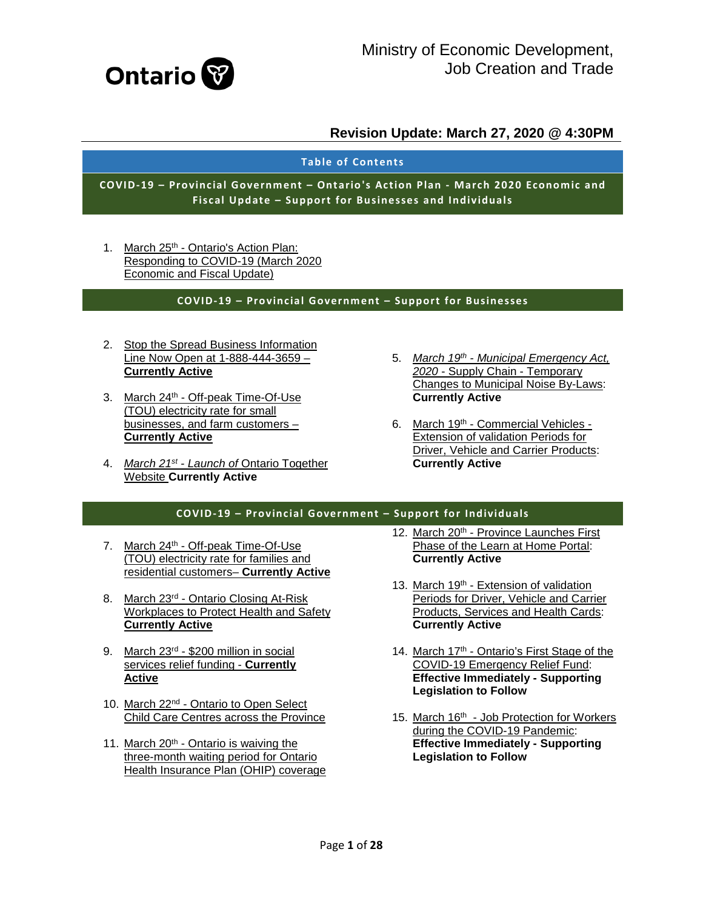

#### **Table of Contents**

**COVID-19 – Provincial Government – Ontario's Action Plan - March 2020 Economic and Fiscal Update – Support for Businesses and Individuals**

1. March 25<sup>th</sup> - Ontario's Action Plan: [Responding to COVID-19 \(March 2020](#page-2-0)  [Economic and Fiscal Update\)](#page-2-0)

#### **COVID-19 – Provincial Government – Support for Businesses**

- 2. [Stop the Spread Business Information](#page-2-0)  [Line Now Open at 1-888-444-3659 –](#page-2-0) **[Currently Active](#page-2-0)**
- 3. March 24th [Off-peak Time-Of-Use](#page-2-0)  [\(TOU\) electricity rate for small](#page-2-0)  [businesses, and farm customers –](#page-2-0) **[Currently Active](#page-2-0)**
- 4. *March 21st - Launch of* [Ontario Together](#page-6-0)  Website **[Currently Active](#page-6-0)**
- 5. *March 19th - [Municipal Emergency Act,](#page-7-0)  2020* - [Supply Chain -](#page-7-0) Temporary [Changes to Municipal Noise By-Laws:](#page-7-0)  **[Currently Active](#page-7-0)**
- 6. March 19th [Commercial Vehicles -](#page-7-1) [Extension of validation Periods for](#page-7-1)  [Driver, Vehicle and Carrier Products:](#page-7-1)  **[Currently Active](#page-7-1)**

#### **COVID-19 – Provincial Government – Support for Individuals**

- 7. March 24<sup>th</sup> Off-peak Time-Of-Use [\(TOU\) electricity rate for families and](#page-7-2)  [residential customers–](#page-7-2) **Currently Active**
- 8. March 23<sup>rd</sup> Ontario Closing At-Risk [Workplaces to Protect Health and Safety](#page-8-0)  **[Currently Active](#page-8-0)**
- 9. March 23rd [\\$200 million in social](#page-8-1)  [services relief funding -](#page-8-1) **Currently [Active](#page-8-1)**
- 10. March 22nd [Ontario to Open Select](#page-9-0)  [Child Care Centres across the Province](#page-9-0)
- 11. March 20<sup>th</sup> Ontario is waiving the [three-month waiting period for Ontario](#page-9-1)  [Health Insurance Plan \(OHIP\) coverage](#page-9-1)
- 12. March 20<sup>th</sup> Province Launches First [Phase of the Learn at Home Portal:](#page-9-2)  **[Currently Active](#page-9-2)**
- 13. March 19th Extension of validation [Periods for Driver, Vehicle and Carrier](#page-10-0)  [Products, Services and Health Cards:](#page-10-0)  **[Currently Active](#page-10-0)**
- 14. March 17<sup>th</sup> Ontario's First Stage of the [COVID-19 Emergency Relief Fund:](#page-10-1)  **[Effective Immediately -](#page-10-1) Supporting [Legislation to Follow](#page-10-1)**
- 15. March 16<sup>th</sup> Job Protection for Workers [during the COVID-19 Pandemic:](#page-11-0)  **[Effective Immediately -](#page-11-0) Supporting [Legislation to Follow](#page-11-0)**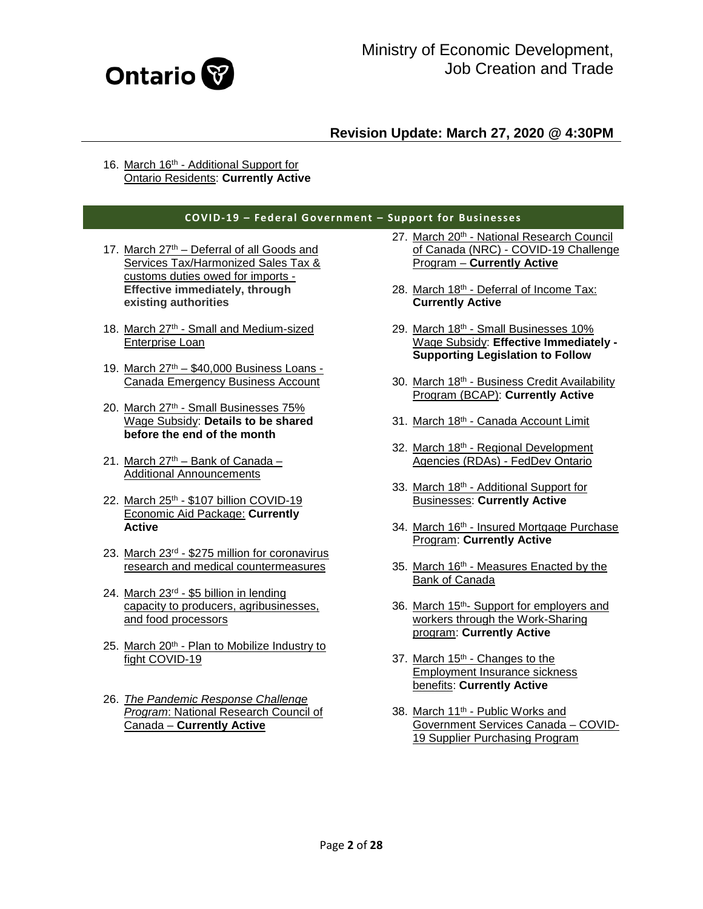

16. March 16th - Additional Support for [Ontario Residents:](#page-12-0) **Currently Active**

#### **COVID-19 – Federal Government – Support for Businesses**

- 17. March  $27<sup>th</sup>$  Deferral of all Goods and [Services Tax/Harmonized Sales Tax &](#page-12-1)  [customs duties owed for imports -](#page-12-1) **[Effective immediately, through](#page-12-1)  [existing authorities](#page-12-1)**
- 18. March 27<sup>th</sup> Small and Medium-sized [Enterprise Loan](#page-12-2)
- 19. March  $27<sup>th</sup> $40,000$  Business Loans -[Canada Emergency Business Account](#page-13-0)
- 20. March 27th [Small Businesses 75%](#page-14-0)  Wage Subsidy: **[Details to be shared](#page-14-0)  [before the end of the month](#page-14-0)**
- 21. March  $27<sup>th</sup>$  [Bank of Canada –](#page-14-1) [Additional Announcements](#page-14-1)
- 22. March 25<sup>th</sup> \$107 billion COVID-19 [Economic Aid Package:](#page-14-2) **Currently [Active](#page-14-2)**
- 23. March 23rd \$275 [million for coronavirus](#page-14-3)  [research and medical countermeasures](#page-14-3)
- 24. March 23rd [\\$5 billion in lending](#page-15-0)  [capacity to producers, agribusinesses,](#page-15-0)  [and food processors](#page-15-0)
- 25. March 20<sup>th</sup> Plan to Mobilize Industry to [fight COVID-19](#page-15-1)
- 26. *[The Pandemic Response Challenge](#page-16-0)  Program*[: National Research Council of](#page-16-0)  Canada – **[Currently Active](#page-16-0)**
- 27. March 20<sup>th</sup> National Research Council of Canada (NRC) - [COVID-19 Challenge](#page-16-1)  Program – **[Currently Active](#page-16-1)**
- 28. March 18th [Deferral of Income Tax:](#page-17-0) **[Currently Active](#page-17-0)**
- 29. March 18th [Small Businesses 10%](#page-17-1)  [Wage Subsidy:](#page-17-1) **Effective Immediately - [Supporting Legislation to Follow](#page-17-1)**
- 30. March 18<sup>th</sup> Business Credit Availability [Program \(BCAP\):](#page-17-1) **Currently Active**
- 31. March 18th [Canada Account Limit](#page-19-0)
- 32. March 18th Regional Development [Agencies \(RDAs\) -](#page-19-1) FedDev Ontario
- 33. March 18th [Additional Support for](#page-19-2)  Businesses: **[Currently Active](#page-19-2)**
- 34. March 16<sup>th</sup> Insured Mortgage Purchase Program: **[Currently Active](#page-20-0)**
- 35. March 16<sup>th</sup> Measures Enacted by the [Bank of Canada](#page-20-1)
- 36. March 15<sup>th</sup>- Support for employers and [workers through the Work-Sharing](#page-21-0)  program: **[Currently Active](#page-21-0)**
- 37. March 15<sup>th</sup> Changes to the [Employment Insurance sickness](#page-21-1)  benefits: **[Currently Active](#page-21-1)**
- 38. March 11<sup>th</sup> Public Works and [Government Services Canada –](#page-22-0) COVID-[19 Supplier Purchasing Program](#page-22-0)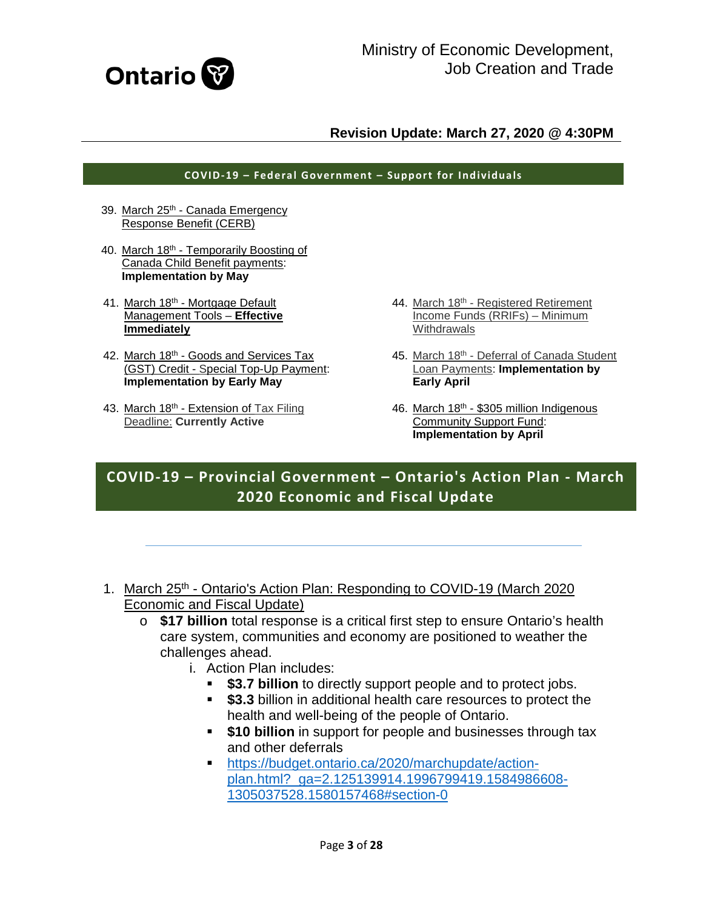

#### **COVID-19 – Federal Government – Support for Individuals**

- 39. March 25<sup>th</sup> Canada Emergency [Response Benefit \(CERB\)](#page-23-0)
- 40. March 18th [Temporarily Boosting of](#page-23-1)  [Canada Child Benefit payments:](#page-23-1)  **[Implementation by May](#page-23-1)**
- 41. March 18th Mortgage Default [Management Tools –](#page-24-0) **Effective [Immediately](#page-24-0)**
- 42. March 18<sup>th</sup> Goods and Services Tax (GST) Credit - [Special Top-Up Payment:](#page-24-1)  **[Implementation by Early May](#page-24-1)**
- 43. March 18<sup>th</sup> Extension of Tax Filing Deadline: **[Currently Active](#page-24-2)**
- 44. March 18th Registered Retirement [Income Funds \(RRIFs\) –](#page-24-3) Minimum **[Withdrawals](#page-24-3)**
- 45. March 18th Deferral of Canada Student Loan Payments: **[Implementation by](#page-25-0)  [Early April](#page-25-0)**
- 46. March 18th [\\$305 million Indigenous](#page-25-1)  [Community Support Fund:](#page-25-1)  **[Implementation by April](#page-25-1)**

# **COVID-19 – Provincial Government – Ontario's Action Plan - March 2020 Economic and Fiscal Update**

- <span id="page-2-0"></span>1. March 25<sup>th</sup> - Ontario's Action Plan: Responding to COVID-19 (March 2020) Economic and Fiscal Update)
	- o **\$17 billion** total response is a critical first step to ensure Ontario's health care system, communities and economy are positioned to weather the challenges ahead.
		- i. Action Plan includes:
			- **\$3.7 billion** to directly support people and to protect jobs.
			- **\$3.3** billion in additional health care resources to protect the health and well-being of the people of Ontario.
			- **\$10 billion** in support for people and businesses through tax and other deferrals
			- [https://budget.ontario.ca/2020/marchupdate/action](https://budget.ontario.ca/2020/marchupdate/action-plan.html?_ga=2.125139914.1996799419.1584986608-1305037528.1580157468#section-0)[plan.html?\\_ga=2.125139914.1996799419.1584986608-](https://budget.ontario.ca/2020/marchupdate/action-plan.html?_ga=2.125139914.1996799419.1584986608-1305037528.1580157468#section-0) [1305037528.1580157468#section-0](https://budget.ontario.ca/2020/marchupdate/action-plan.html?_ga=2.125139914.1996799419.1584986608-1305037528.1580157468#section-0)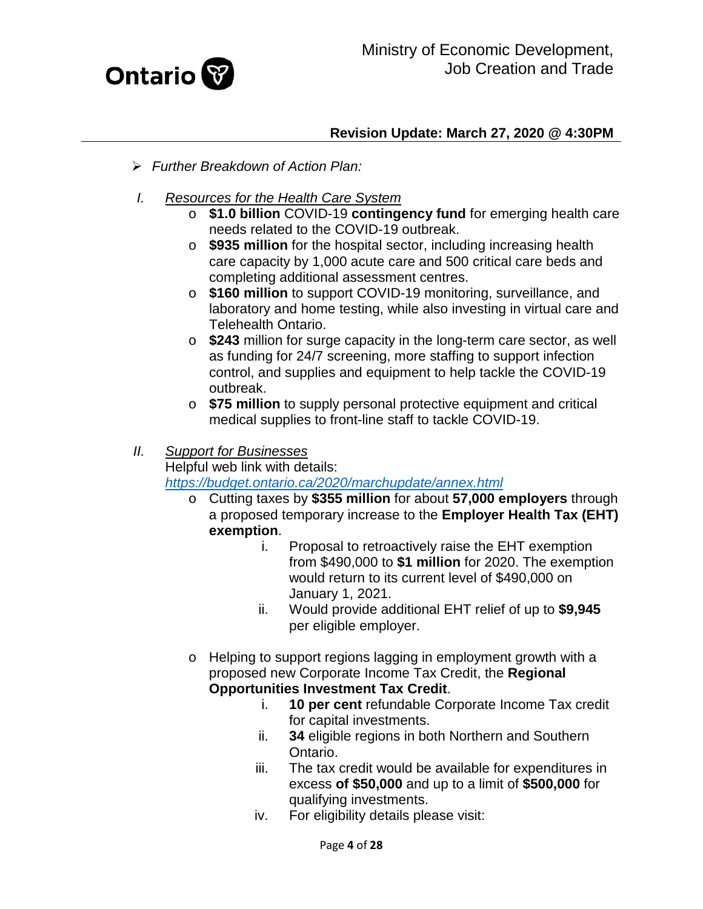

- *Further Breakdown of Action Plan:*
- *I. Resources for the Health Care System*
	- o **\$1.0 billion** COVID-19 **contingency fund** for emerging health care needs related to the COVID-19 outbreak.
	- o **\$935 million** for the hospital sector, including increasing health care capacity by 1,000 acute care and 500 critical care beds and completing additional assessment centres.
	- o **\$160 million** to support COVID-19 monitoring, surveillance, and laboratory and home testing, while also investing in virtual care and Telehealth Ontario.
	- o **\$243** million for surge capacity in the long-term care sector, as well as funding for 24/7 screening, more staffing to support infection control, and supplies and equipment to help tackle the COVID-19 outbreak.
	- o **\$75 million** to supply personal protective equipment and critical medical supplies to front-line staff to tackle COVID-19.

#### *II. Support for Businesses*

Helpful web link with details:

*<https://budget.ontario.ca/2020/marchupdate/annex.html>*

- o Cutting taxes by **\$355 million** for about **57,000 employers** through a proposed temporary increase to the **Employer Health Tax (EHT) exemption**.
	- i. Proposal to retroactively raise the EHT exemption from \$490,000 to **\$1 million** for 2020. The exemption would return to its current level of \$490,000 on January 1, 2021.
	- ii. Would provide additional EHT relief of up to **\$9,945** per eligible employer.
- o Helping to support regions lagging in employment growth with a proposed new Corporate Income Tax Credit, the **Regional Opportunities Investment Tax Credit**.
	- i. **10 per cent** refundable Corporate Income Tax credit for capital investments.
	- ii. **34** eligible regions in both Northern and Southern Ontario.
	- iii. The tax credit would be available for expenditures in excess **of \$50,000** and up to a limit of **\$500,000** for qualifying investments.
	- iv. For eligibility details please visit: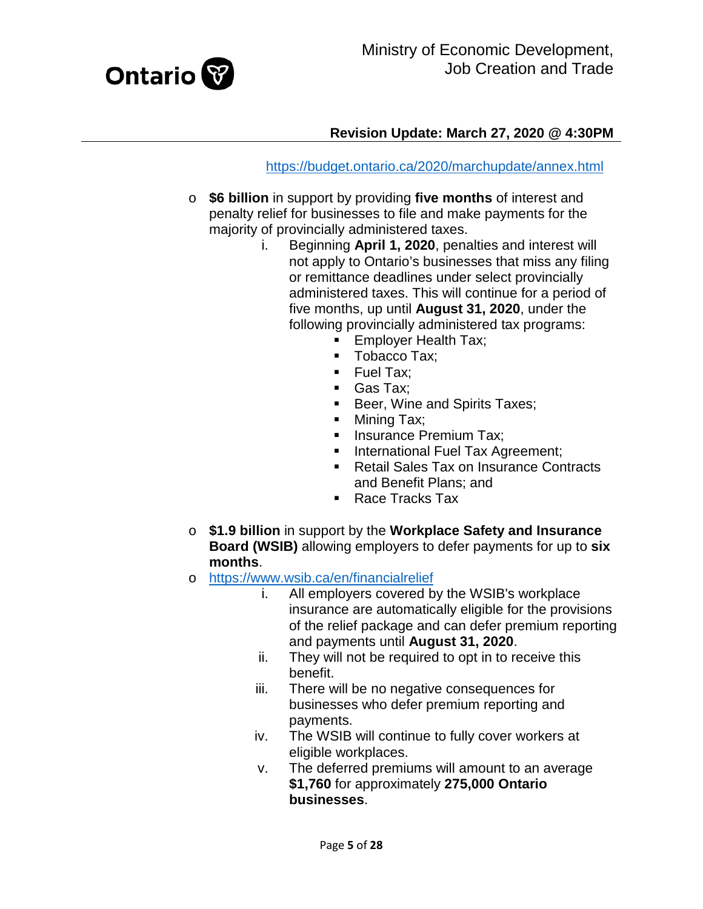

<https://budget.ontario.ca/2020/marchupdate/annex.html>

- o **\$6 billion** in support by providing **five months** of interest and penalty relief for businesses to file and make payments for the majority of provincially administered taxes.
	- i. Beginning **April 1, 2020**, penalties and interest will not apply to Ontario's businesses that miss any filing or remittance deadlines under select provincially administered taxes. This will continue for a period of five months, up until **August 31, 2020**, under the following provincially administered tax programs:
		- **Employer Health Tax;**
		- Tobacco Tax;
		- $\blacksquare$  Fuel Tax:
		- Gas Tax;
		- **Beer, Wine and Spirits Taxes;**
		- Mining Tax;
		- **Insurance Premium Tax;**
		- **International Fuel Tax Agreement:**
		- Retail Sales Tax on Insurance Contracts and Benefit Plans; and
		- Race Tracks Tax
- o **\$1.9 billion** in support by the **Workplace Safety and Insurance Board (WSIB)** allowing employers to defer payments for up to **six months**.
- o <https://www.wsib.ca/en/financialrelief><br>i. All employers covered b
	- All employers covered by the WSIB's workplace insurance are automatically eligible for the provisions of the relief package and can defer premium reporting and payments until **August 31, 2020**.
	- ii. They will not be required to opt in to receive this benefit.
	- iii. There will be no negative consequences for businesses who defer premium reporting and payments.
	- iv. The WSIB will continue to fully cover workers at eligible workplaces.
	- v. The deferred premiums will amount to an average **\$1,760** for approximately **275,000 Ontario businesses**.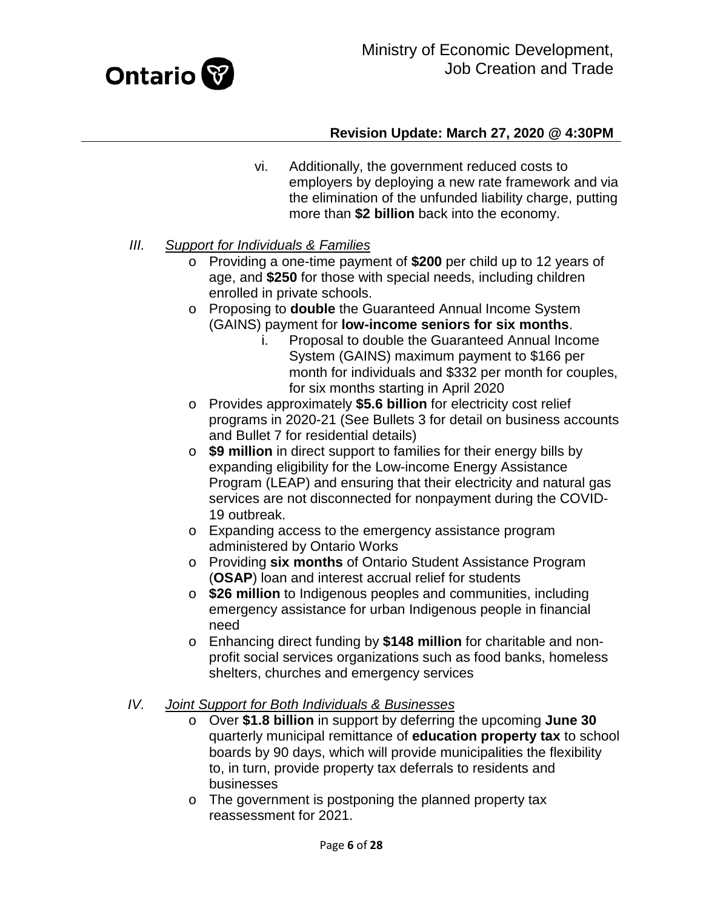

- vi. Additionally, the government reduced costs to employers by deploying a new rate framework and via the elimination of the unfunded liability charge, putting more than **\$2 billion** back into the economy.
- *III. Support for Individuals & Families*
	- o Providing a one-time payment of **\$200** per child up to 12 years of age, and **\$250** for those with special needs, including children enrolled in private schools.
	- o Proposing to **double** the Guaranteed Annual Income System (GAINS) payment for **low-income seniors for six months**.
		- i. Proposal to double the Guaranteed Annual Income System (GAINS) maximum payment to \$166 per month for individuals and \$332 per month for couples, for six months starting in April 2020
	- o Provides approximately **\$5.6 billion** for electricity cost relief programs in 2020-21 (See Bullets 3 for detail on business accounts and Bullet 7 for residential details)
	- o **\$9 million** in direct support to families for their energy bills by expanding eligibility for the Low-income Energy Assistance Program (LEAP) and ensuring that their electricity and natural gas services are not disconnected for nonpayment during the COVID-19 outbreak.
	- o Expanding access to the emergency assistance program administered by Ontario Works
	- o Providing **six months** of Ontario Student Assistance Program (**OSAP**) loan and interest accrual relief for students
	- o **\$26 million** to Indigenous peoples and communities, including emergency assistance for urban Indigenous people in financial need
	- o Enhancing direct funding by **\$148 million** for charitable and nonprofit social services organizations such as food banks, homeless shelters, churches and emergency services

#### *IV. Joint Support for Both Individuals & Businesses*

- o Over **\$1.8 billion** in support by deferring the upcoming **June 30** quarterly municipal remittance of **education property tax** to school boards by 90 days, which will provide municipalities the flexibility to, in turn, provide property tax deferrals to residents and businesses
- o The government is postponing the planned property tax reassessment for 2021.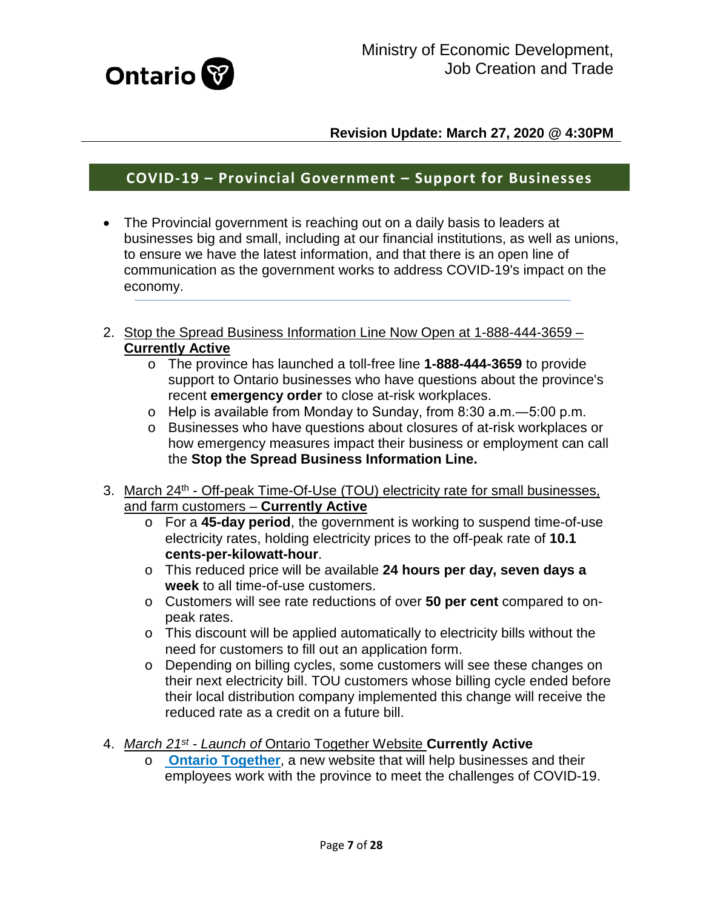

# **COVID-19 – Provincial Government – Support for Businesses**

- The Provincial government is reaching out on a daily basis to leaders at businesses big and small, including at our financial institutions, as well as unions, to ensure we have the latest information, and that there is an open line of communication as the government works to address COVID-19's impact on the economy.
- 2. Stop the Spread Business Information Line Now Open at 1-888-444-3659 -**Currently Active**
	- o The province has launched a toll-free line **1-888-444-3659** to provide support to Ontario businesses who have questions about the province's recent **emergency order** to close at-risk workplaces.
	- o Help is available from Monday to Sunday, from 8:30 a.m.―5:00 p.m.
	- o Businesses who have questions about closures of at-risk workplaces or how emergency measures impact their business or employment can call the **Stop the Spread Business Information Line.**
- 3. March 24<sup>th</sup> Off-peak Time-Of-Use (TOU) electricity rate for small businesses, and farm customers – **Currently Active**
	- o For a **45-day period**, the government is working to suspend time-of-use electricity rates, holding electricity prices to the off-peak rate of **10.1 cents-per-kilowatt-hour**.
	- o This reduced price will be available **24 hours per day, seven days a week** to all time-of-use customers.
	- o Customers will see rate reductions of over **50 per cent** compared to onpeak rates.
	- o This discount will be applied automatically to electricity bills without the need for customers to fill out an application form.
	- o Depending on billing cycles, some customers will see these changes on their next electricity bill. TOU customers whose billing cycle ended before their local distribution company implemented this change will receive the reduced rate as a credit on a future bill.
- <span id="page-6-0"></span>4. *March 21st - Launch of* Ontario Together Website **Currently Active**
	- o **[Ontario Together](http://ontario.ca/ontariotogether?_ga=2.117268422.1996799419.1584986608-1305037528.1580157468)**, a new website that will help businesses and their employees work with the province to meet the challenges of COVID-19.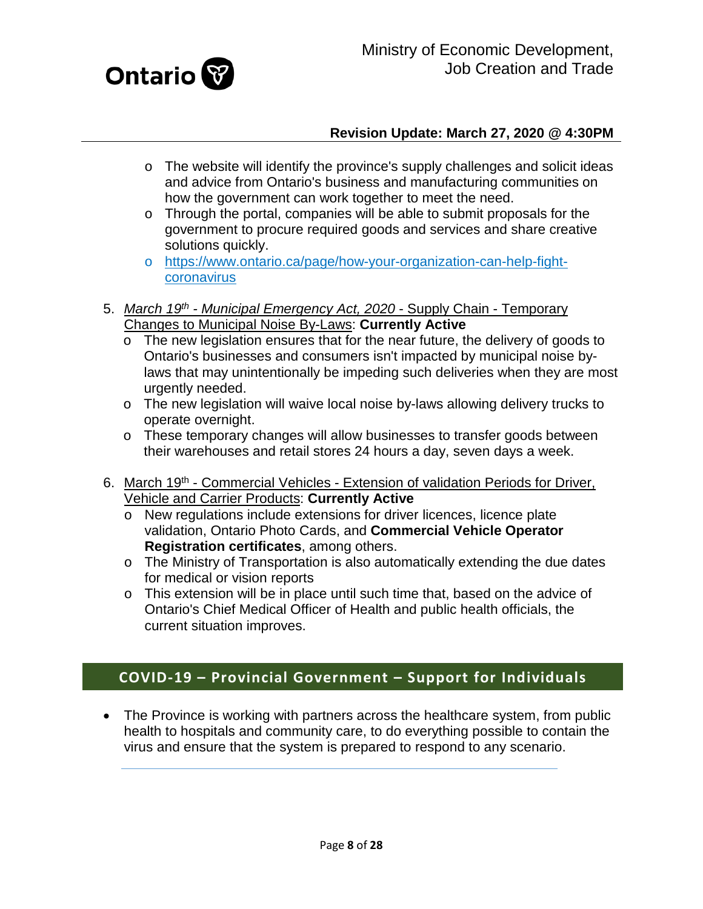

- o The website will identify the province's supply challenges and solicit ideas and advice from Ontario's business and manufacturing communities on how the government can work together to meet the need.
- o Through the portal, companies will be able to submit proposals for the government to procure required goods and services and share creative solutions quickly.
- o [https://www.ontario.ca/page/how-your-organization-can-help-fight](https://www.ontario.ca/page/how-your-organization-can-help-fight-coronavirus)[coronavirus](https://www.ontario.ca/page/how-your-organization-can-help-fight-coronavirus)
- <span id="page-7-0"></span>5. *March 19th - Municipal Emergency Act, 2020* - Supply Chain - Temporary Changes to Municipal Noise By-Laws: **Currently Active** 
	- o The new legislation ensures that for the near future, the delivery of goods to Ontario's businesses and consumers isn't impacted by municipal noise bylaws that may unintentionally be impeding such deliveries when they are most urgently needed.
	- o The new legislation will waive local noise by-laws allowing delivery trucks to operate overnight.
	- o These temporary changes will allow businesses to transfer goods between their warehouses and retail stores 24 hours a day, seven days a week.
- <span id="page-7-1"></span>6. March 19<sup>th</sup> - Commercial Vehicles - Extension of validation Periods for Driver, Vehicle and Carrier Products: **Currently Active**
	- o New regulations include extensions for driver licences, licence plate validation, Ontario Photo Cards, and **Commercial Vehicle Operator Registration certificates**, among others.
	- o The Ministry of Transportation is also automatically extending the due dates for medical or vision reports
	- o This extension will be in place until such time that, based on the advice of Ontario's Chief Medical Officer of Health and public health officials, the current situation improves.

# **COVID-19 – Provincial Government – Support for Individuals**

<span id="page-7-2"></span>• The Province is working with partners across the healthcare system, from public health to hospitals and community care, to do everything possible to contain the virus and ensure that the system is prepared to respond to any scenario.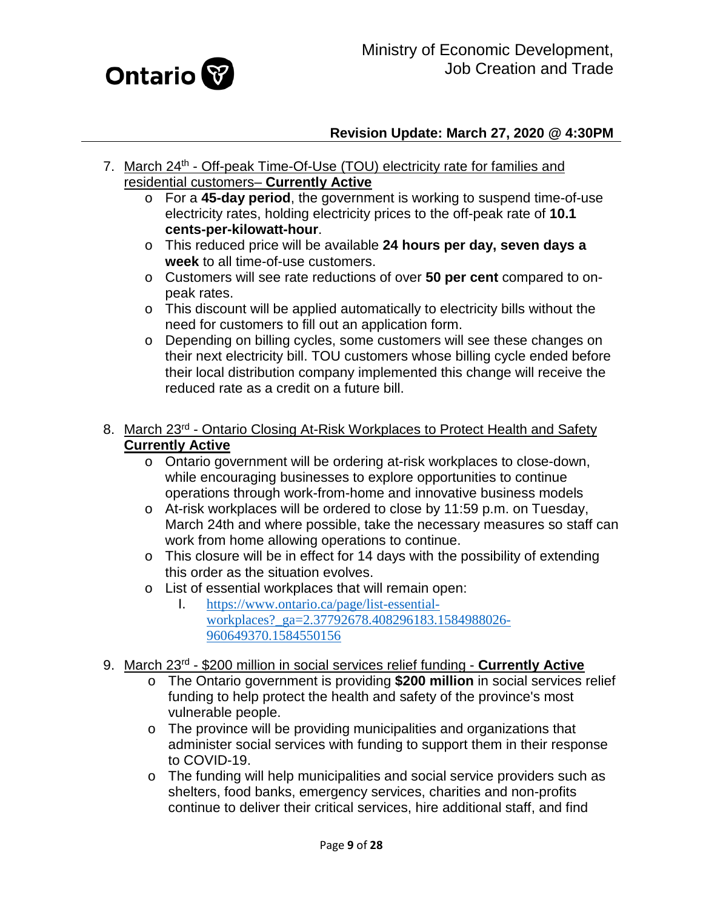

- 7. March 24<sup>th</sup> Off-peak Time-Of-Use (TOU) electricity rate for families and residential customers– **Currently Active**
	- o For a **45-day period**, the government is working to suspend time-of-use electricity rates, holding electricity prices to the off-peak rate of **10.1 cents-per-kilowatt-hour**.
	- o This reduced price will be available **24 hours per day, seven days a week** to all time-of-use customers.
	- o Customers will see rate reductions of over **50 per cent** compared to onpeak rates.
	- o This discount will be applied automatically to electricity bills without the need for customers to fill out an application form.
	- o Depending on billing cycles, some customers will see these changes on their next electricity bill. TOU customers whose billing cycle ended before their local distribution company implemented this change will receive the reduced rate as a credit on a future bill.
- <span id="page-8-0"></span>8. March 23<sup>rd</sup> - Ontario Closing At-Risk Workplaces to Protect Health and Safety **Currently Active**
	- o Ontario government will be ordering at-risk workplaces to close-down, while encouraging businesses to explore opportunities to continue operations through work-from-home and innovative business models
	- o At-risk workplaces will be ordered to close by 11:59 p.m. on Tuesday, March 24th and where possible, take the necessary measures so staff can work from home allowing operations to continue.
	- o This closure will be in effect for 14 days with the possibility of extending this order as the situation evolves.
	- o List of essential workplaces that will remain open:<br>1. https://www.ontario.ca/page/list-essential-
		- I. [https://www.ontario.ca/page/list-essential](https://www.ontario.ca/page/list-essential-workplaces?_ga=2.37792678.408296183.1584988026-960649370.1584550156)workplaces? ga=2.37792678.408296183.1584988026-[960649370.1584550156](https://www.ontario.ca/page/list-essential-workplaces?_ga=2.37792678.408296183.1584988026-960649370.1584550156)
- <span id="page-8-1"></span>9. March 23rd - \$200 million in social services relief funding - **Currently Active**
	- o The Ontario government is providing **\$200 million** in social services relief funding to help protect the health and safety of the province's most vulnerable people.
	- o The province will be providing municipalities and organizations that administer social services with funding to support them in their response to COVID-19.
	- o The funding will help municipalities and social service providers such as shelters, food banks, emergency services, charities and non-profits continue to deliver their critical services, hire additional staff, and find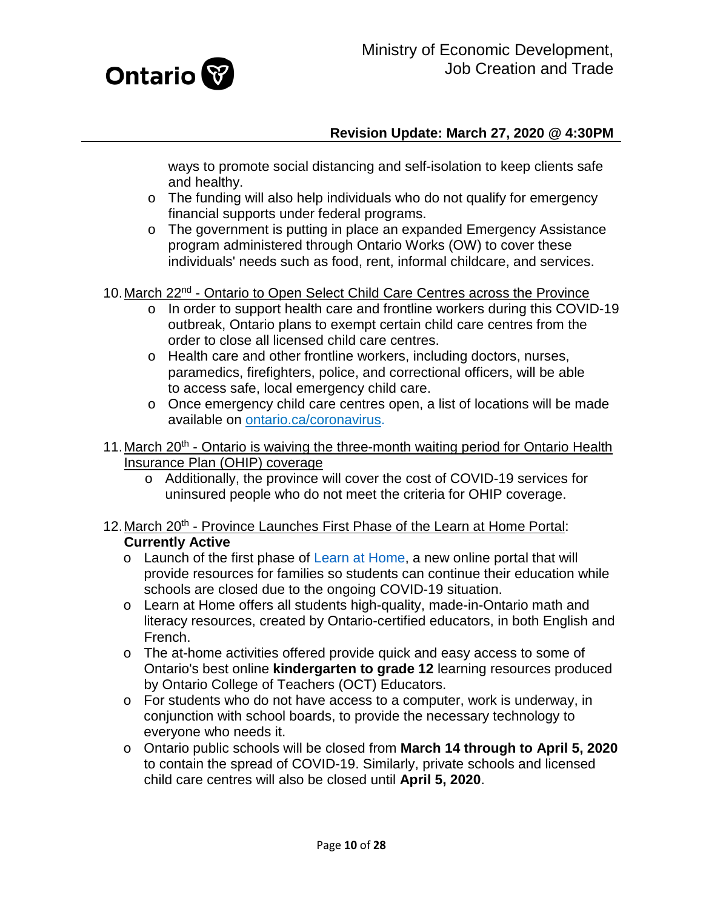

ways to promote social distancing and self-isolation to keep clients safe and healthy.

- o The funding will also help individuals who do not qualify for emergency financial supports under federal programs.
- o The government is putting in place an expanded Emergency Assistance program administered through Ontario Works (OW) to cover these individuals' needs such as food, rent, informal childcare, and services.
- <span id="page-9-0"></span>10.March 22nd - Ontario to Open Select Child Care Centres across the Province
	- o In order to support health care and frontline workers during this COVID-19 outbreak, Ontario plans to exempt certain child care centres from the order to close all licensed child care centres.
	- o Health care and other frontline workers, including doctors, nurses, paramedics, firefighters, police, and correctional officers, will be able to access safe, local emergency child care.
	- o Once emergency child care centres open, a list of locations will be made available on [ontario.ca/coronavirus.](http://www.ontario.ca/coronavirus?_ga=2.91567450.1996799419.1584986608-1305037528.1580157468)
- <span id="page-9-1"></span>11. March  $20<sup>th</sup>$  - Ontario is waiving the three-month waiting period for Ontario Health Insurance Plan (OHIP) coverage
	- o Additionally, the province will cover the cost of COVID-19 services for uninsured people who do not meet the criteria for OHIP coverage.

#### <span id="page-9-2"></span>12. March 20<sup>th</sup> - Province Launches First Phase of the Learn at Home Portal: **Currently Active**

- o Launch of the first phase of [Learn at Home,](https://www.ontario.ca/page/learn-at-home?_ga=2.104073862.780307966.1584385273-1305037528.1580157468) a new online portal that will provide resources for families so students can continue their education while schools are closed due to the ongoing COVID-19 situation.
- o Learn at Home offers all students high-quality, made-in-Ontario math and literacy resources, created by Ontario-certified educators, in both English and French.
- o The at-home activities offered provide quick and easy access to some of Ontario's best online **kindergarten to grade 12** learning resources produced by Ontario College of Teachers (OCT) Educators.
- o For students who do not have access to a computer, work is underway, in conjunction with school boards, to provide the necessary technology to everyone who needs it.
- o Ontario public schools will be closed from **March 14 through to April 5, 2020** to contain the spread of COVID-19. Similarly, private schools and licensed child care centres will also be closed until **April 5, 2020**.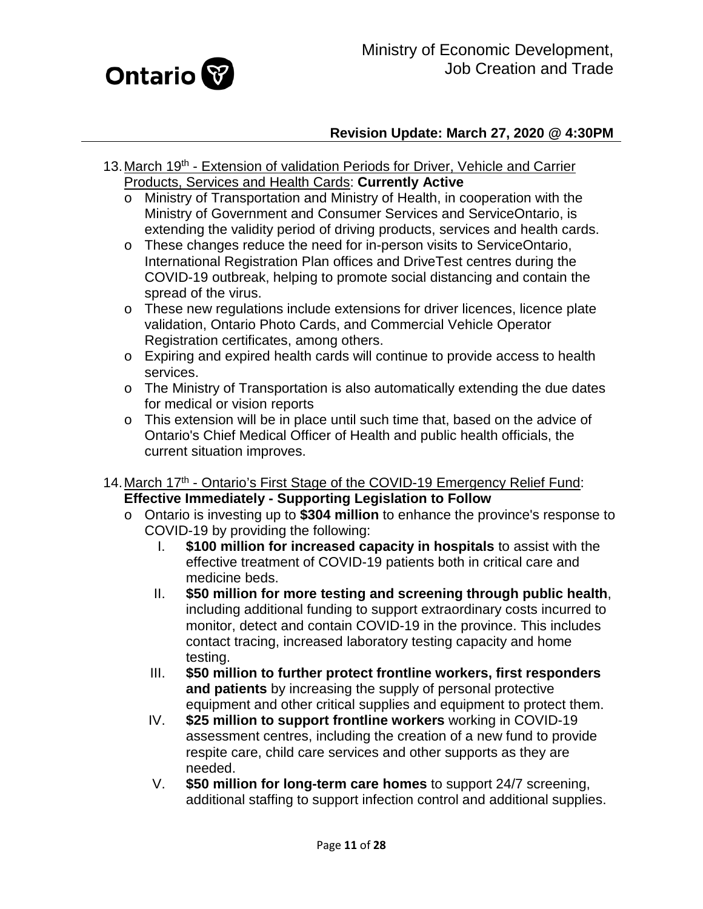

- <span id="page-10-0"></span>13. March 19<sup>th</sup> - Extension of validation Periods for Driver, Vehicle and Carrier Products, Services and Health Cards: **Currently Active**
	- o Ministry of Transportation and Ministry of Health, in cooperation with the Ministry of Government and Consumer Services and ServiceOntario, is extending the validity period of driving products, services and health cards.
	- o These changes reduce the need for in-person visits to ServiceOntario, International Registration Plan offices and DriveTest centres during the COVID-19 outbreak, helping to promote social distancing and contain the spread of the virus.
	- $\circ$  These new regulations include extensions for driver licences, licence plate validation, Ontario Photo Cards, and Commercial Vehicle Operator Registration certificates, among others.
	- o Expiring and expired health cards will continue to provide access to health services.
	- o The Ministry of Transportation is also automatically extending the due dates for medical or vision reports
	- o This extension will be in place until such time that, based on the advice of Ontario's Chief Medical Officer of Health and public health officials, the current situation improves.
- <span id="page-10-1"></span>14. March 17<sup>th</sup> - Ontario's First Stage of the COVID-19 Emergency Relief Fund: **Effective Immediately - Supporting Legislation to Follow**
	- o Ontario is investing up to **\$304 million** to enhance the province's response to COVID-19 by providing the following:
		- I. **\$100 million for increased capacity in hospitals** to assist with the effective treatment of COVID-19 patients both in critical care and medicine beds.
		- II. **\$50 million for more testing and screening through public health**, including additional funding to support extraordinary costs incurred to monitor, detect and contain COVID-19 in the province. This includes contact tracing, increased laboratory testing capacity and home testing.
		- III. **\$50 million to further protect frontline workers, first responders and patients** by increasing the supply of personal protective equipment and other critical supplies and equipment to protect them.
		- IV. **\$25 million to support frontline workers** working in COVID-19 assessment centres, including the creation of a new fund to provide respite care, child care services and other supports as they are needed.
		- V. **\$50 million for long-term care homes** to support 24/7 screening, additional staffing to support infection control and additional supplies.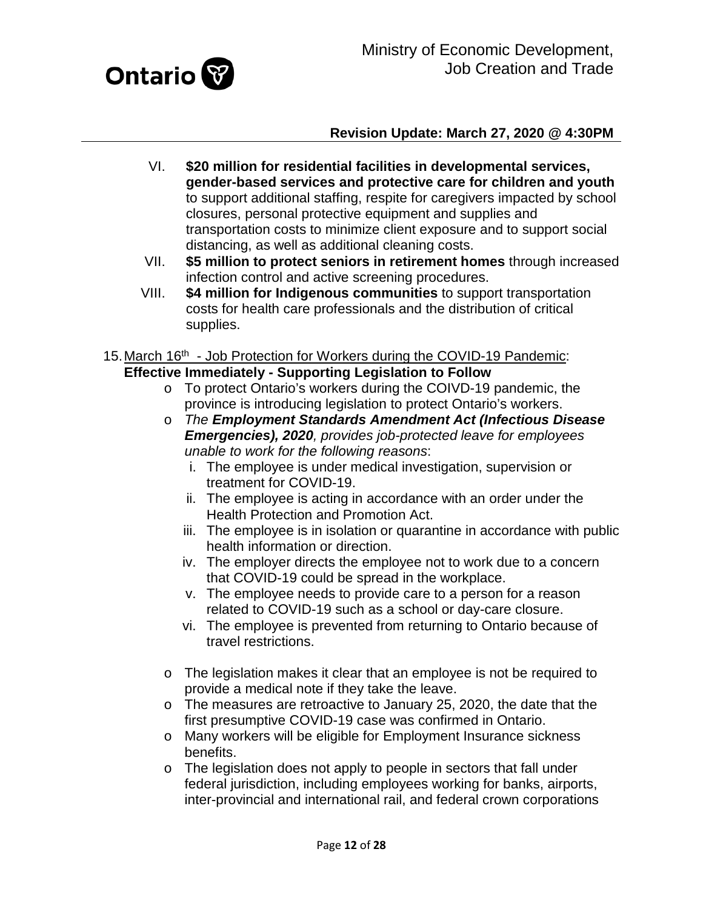

- VI. **\$20 million for residential facilities in developmental services, gender-based services and protective care for children and youth** to support additional staffing, respite for caregivers impacted by school closures, personal protective equipment and supplies and transportation costs to minimize client exposure and to support social distancing, as well as additional cleaning costs.
- VII. **\$5 million to protect seniors in retirement homes** through increased infection control and active screening procedures.
- VIII. **\$4 million for Indigenous communities** to support transportation costs for health care professionals and the distribution of critical supplies.
- <span id="page-11-0"></span>15. March 16<sup>th</sup> - Job Protection for Workers during the COVID-19 Pandemic: **Effective Immediately - Supporting Legislation to Follow**
	- o To protect Ontario's workers during the COIVD-19 pandemic, the province is introducing legislation to protect Ontario's workers.
	- o *The Employment Standards Amendment Act (Infectious Disease Emergencies), 2020, provides job-protected leave for employees unable to work for the following reasons*:
		- i. The employee is under medical investigation, supervision or treatment for COVID-19.
		- ii. The employee is acting in accordance with an order under the Health Protection and Promotion Act.
		- iii. The employee is in isolation or quarantine in accordance with public health information or direction.
		- iv. The employer directs the employee not to work due to a concern that COVID-19 could be spread in the workplace.
		- v. The employee needs to provide care to a person for a reason related to COVID-19 such as a school or day-care closure.
		- vi. The employee is prevented from returning to Ontario because of travel restrictions.
	- o The legislation makes it clear that an employee is not be required to provide a medical note if they take the leave.
	- o The measures are retroactive to January 25, 2020, the date that the first presumptive COVID-19 case was confirmed in Ontario.
	- o Many workers will be eligible for Employment Insurance sickness benefits.
	- o The legislation does not apply to people in sectors that fall under federal jurisdiction, including employees working for banks, airports, inter-provincial and international rail, and federal crown corporations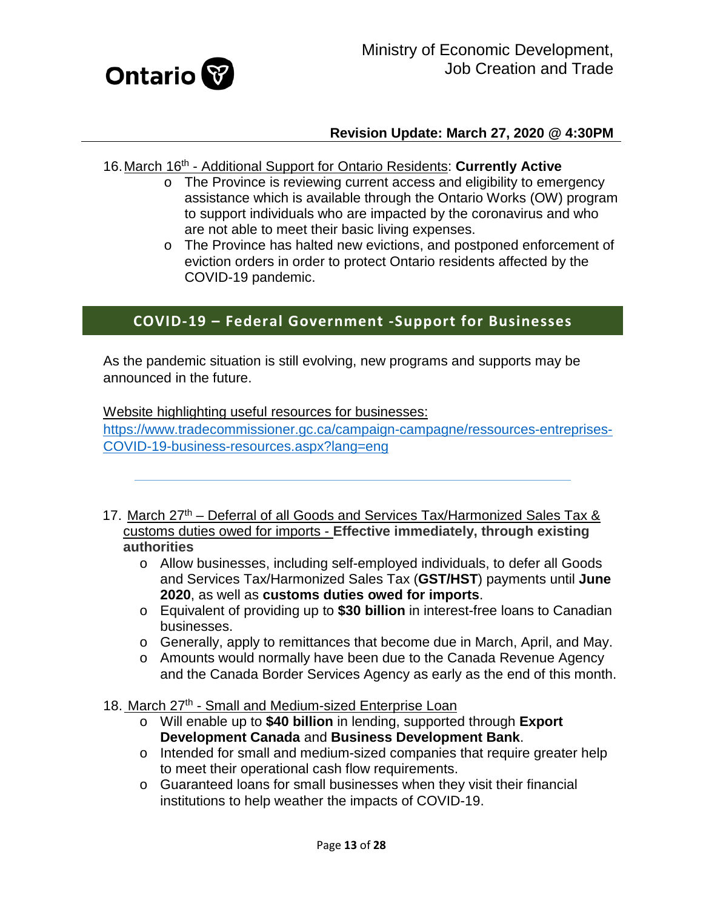

#### <span id="page-12-0"></span>16.March 16th - Additional Support for Ontario Residents: **Currently Active**

- o The Province is reviewing current access and eligibility to emergency assistance which is available through the Ontario Works (OW) program to support individuals who are impacted by the coronavirus and who are not able to meet their basic living expenses.
- o The Province has halted new evictions, and postponed enforcement of eviction orders in order to protect Ontario residents affected by the COVID-19 pandemic.

# **COVID-19 – Federal Government -Support for Businesses**

As the pandemic situation is still evolving, new programs and supports may be announced in the future.

Website highlighting useful resources for businesses:

[https://www.tradecommissioner.gc.ca/campaign-campagne/ressources-entreprises-](https://www.tradecommissioner.gc.ca/campaign-campagne/ressources-entreprises-COVID-19-business-resources.aspx?lang=eng)[COVID-19-business-resources.aspx?lang=eng](https://www.tradecommissioner.gc.ca/campaign-campagne/ressources-entreprises-COVID-19-business-resources.aspx?lang=eng)

- <span id="page-12-1"></span>17. March 27<sup>th</sup> – Deferral of all Goods and Services Tax/Harmonized Sales Tax & customs duties owed for imports - **Effective immediately, through existing authorities**
	- o Allow businesses, including self-employed individuals, to defer all Goods and Services Tax/Harmonized Sales Tax (**GST/HST**) payments until **June 2020**, as well as **customs duties owed for imports**.
	- o Equivalent of providing up to **\$30 billion** in interest-free loans to Canadian businesses.
	- o Generally, apply to remittances that become due in March, April, and May.
	- o Amounts would normally have been due to the Canada Revenue Agency and the Canada Border Services Agency as early as the end of this month.

18. March 27<sup>th</sup> - Small and Medium-sized Enterprise Loan

- <span id="page-12-2"></span>o Will enable up to **\$40 billion** in lending, supported through **Export Development Canada** and **Business Development Bank**.
- o Intended for small and medium-sized companies that require greater help to meet their operational cash flow requirements.
- o Guaranteed loans for small businesses when they visit their financial institutions to help weather the impacts of COVID-19.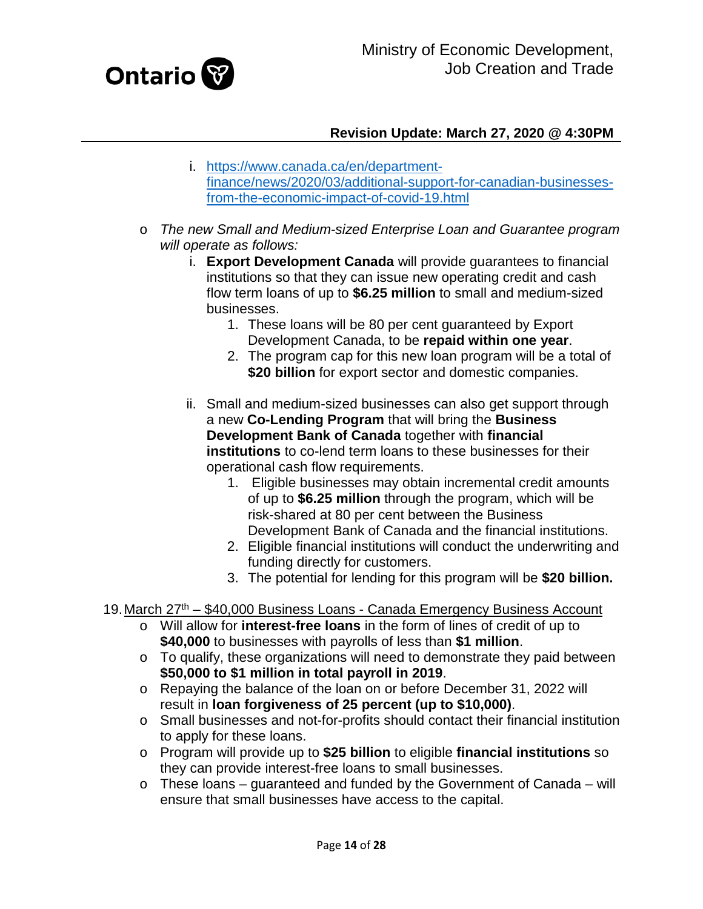

- i. [https://www.canada.ca/en/department](https://www.canada.ca/en/department-finance/news/2020/03/additional-support-for-canadian-businesses-from-the-economic-impact-of-covid-19.html)[finance/news/2020/03/additional-support-for-canadian-businesses](https://www.canada.ca/en/department-finance/news/2020/03/additional-support-for-canadian-businesses-from-the-economic-impact-of-covid-19.html)[from-the-economic-impact-of-covid-19.html](https://www.canada.ca/en/department-finance/news/2020/03/additional-support-for-canadian-businesses-from-the-economic-impact-of-covid-19.html)
- o *The new Small and Medium-sized Enterprise Loan and Guarantee program will operate as follows:*
	- i. **Export Development Canada** will provide guarantees to financial institutions so that they can issue new operating credit and cash flow term loans of up to **\$6.25 million** to small and medium-sized businesses.
		- 1. These loans will be 80 per cent guaranteed by Export Development Canada, to be **repaid within one year**.
		- 2. The program cap for this new loan program will be a total of **\$20 billion** for export sector and domestic companies.
	- ii. Small and medium-sized businesses can also get support through a new **Co-Lending Program** that will bring the **Business Development Bank of Canada** together with **financial institutions** to co-lend term loans to these businesses for their operational cash flow requirements.
		- 1. Eligible businesses may obtain incremental credit amounts of up to **\$6.25 million** through the program, which will be risk-shared at 80 per cent between the Business Development Bank of Canada and the financial institutions.
		- 2. Eligible financial institutions will conduct the underwriting and funding directly for customers.
		- 3. The potential for lending for this program will be **\$20 billion.**
- <span id="page-13-0"></span>19. March 27<sup>th</sup> – \$40,000 Business Loans - Canada Emergency Business Account
	- o Will allow for **interest-free loans** in the form of lines of credit of up to **\$40,000** to businesses with payrolls of less than **\$1 million**.
	- o To qualify, these organizations will need to demonstrate they paid between **\$50,000 to \$1 million in total payroll in 2019**.
	- o Repaying the balance of the loan on or before December 31, 2022 will result in **loan forgiveness of 25 percent (up to \$10,000)**.
	- o Small businesses and not-for-profits should contact their financial institution to apply for these loans.
	- o Program will provide up to **\$25 billion** to eligible **financial institutions** so they can provide interest-free loans to small businesses.
	- $\circ$  These loans guaranteed and funded by the Government of Canada will ensure that small businesses have access to the capital.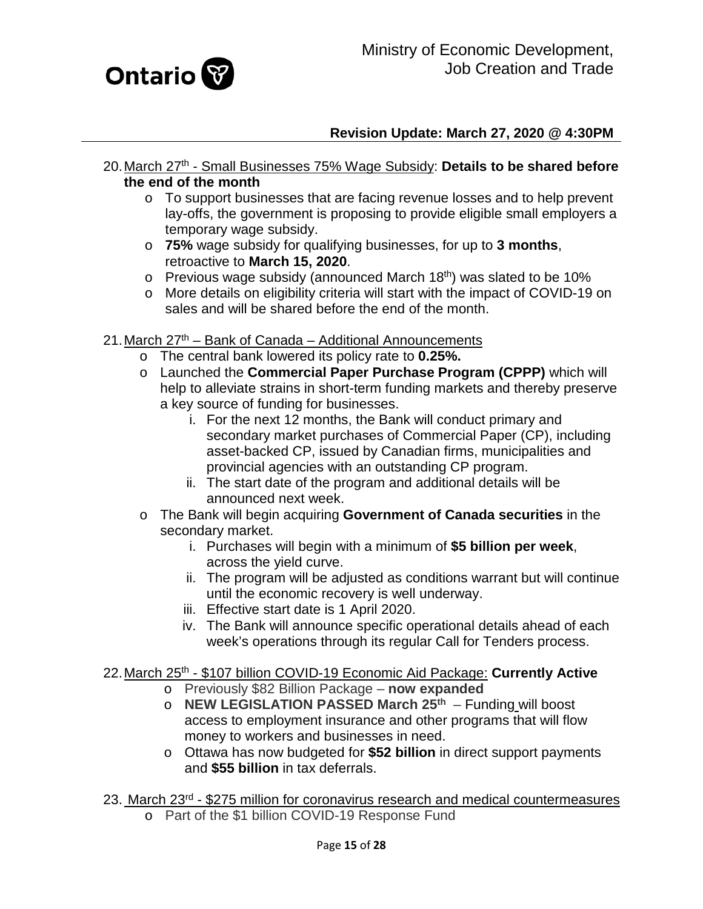

- <span id="page-14-0"></span>20.March 27th - Small Businesses 75% Wage Subsidy: **Details to be shared before the end of the month**
	- o To support businesses that are facing revenue losses and to help prevent lay-offs, the government is proposing to provide eligible small employers a temporary wage subsidy.
	- o **75%** wage subsidy for qualifying businesses, for up to **3 months**, retroactive to **March 15, 2020**.
	- $\circ$  Previous wage subsidy (announced March 18<sup>th</sup>) was slated to be 10%
	- o More details on eligibility criteria will start with the impact of COVID-19 on sales and will be shared before the end of the month.
- <span id="page-14-1"></span>21. March 27<sup>th</sup> – Bank of Canada – Additional Announcements
	- o The central bank lowered its policy rate to **0.25%.**
	- o Launched the **Commercial Paper Purchase Program (CPPP)** which will help to alleviate strains in short-term funding markets and thereby preserve a key source of funding for businesses.
		- i. For the next 12 months, the Bank will conduct primary and secondary market purchases of Commercial Paper (CP), including asset-backed CP, issued by Canadian firms, municipalities and provincial agencies with an outstanding CP program.
		- ii. The start date of the program and additional details will be announced next week.
	- o The Bank will begin acquiring **Government of Canada securities** in the secondary market.
		- i. Purchases will begin with a minimum of **\$5 billion per week**, across the yield curve.
		- ii. The program will be adjusted as conditions warrant but will continue until the economic recovery is well underway.
		- iii. Effective start date is 1 April 2020.
		- iv. The Bank will announce specific operational details ahead of each week's operations through its regular Call for Tenders process.

#### <span id="page-14-2"></span>22.March 25th - \$107 billion COVID-19 Economic Aid Package: **Currently Active**

- o Previously \$82 Billion Package **now expanded**
- o **NEW LEGISLATION PASSED March 25th** Funding will boost access to employment insurance and other programs that will flow money to workers and businesses in need.
- o Ottawa has now budgeted for **\$52 billion** in direct support payments and **\$55 billion** in tax deferrals.
- <span id="page-14-3"></span>23. March 23<sup>rd</sup> - \$275 million for coronavirus research and medical countermeasures o Part of the \$1 billion COVID-19 Response Fund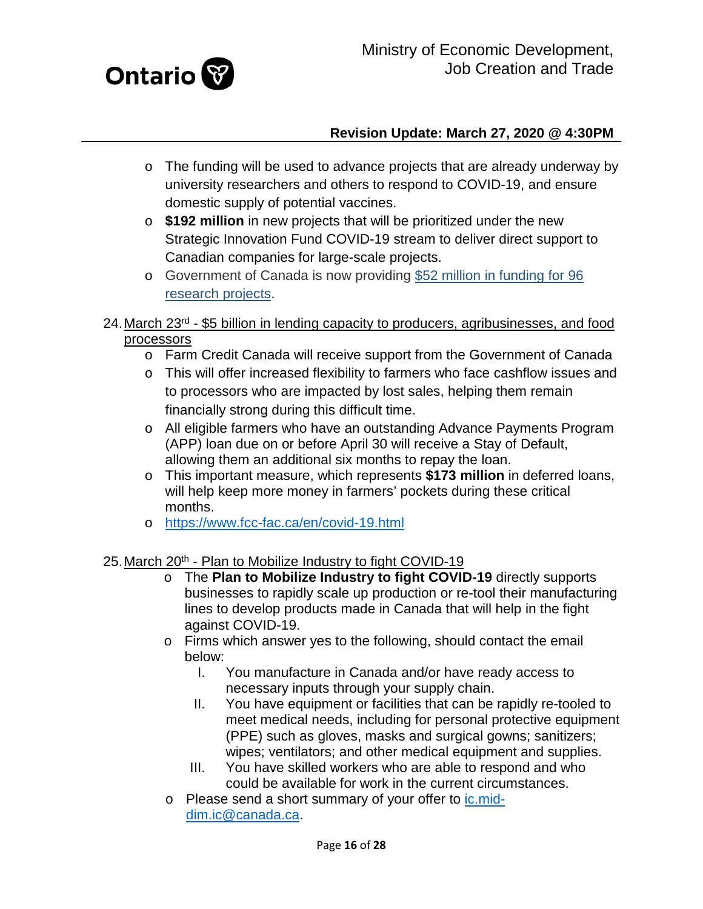

- o The funding will be used to advance projects that are already underway by university researchers and others to respond to COVID-19, and ensure domestic supply of potential vaccines.
- o **\$192 million** in new projects that will be prioritized under the new Strategic Innovation Fund COVID-19 stream to deliver direct support to Canadian companies for large-scale projects.
- o Government of Canada is now providing [\\$52 million in funding for 96](https://www.canada.ca/en/institutes-health-research/news/2020/03/government-of-canada-funds-49-additional-covid-19-research-projects.html)  [research projects.](https://www.canada.ca/en/institutes-health-research/news/2020/03/government-of-canada-funds-49-additional-covid-19-research-projects.html)
- <span id="page-15-0"></span>24. March 23<sup>rd</sup> - \$5 billion in lending capacity to producers, agribusinesses, and food processors
	- o Farm Credit Canada will receive support from the Government of Canada
	- o This will offer increased flexibility to farmers who face cashflow issues and to processors who are impacted by lost sales, helping them remain financially strong during this difficult time.
	- o All eligible farmers who have an outstanding Advance Payments Program (APP) loan due on or before April 30 will receive a Stay of Default, allowing them an additional six months to repay the loan.
	- o This important measure, which represents **\$173 million** in deferred loans, will help keep more money in farmers' pockets during these critical months.
	- o <https://www.fcc-fac.ca/en/covid-19.html>

#### <span id="page-15-1"></span>25. March 20<sup>th</sup> - Plan to Mobilize Industry to fight COVID-19

- o The **Plan to Mobilize Industry to fight COVID-19** directly supports businesses to rapidly scale up production or re-tool their manufacturing lines to develop products made in Canada that will help in the fight against COVID-19.
- o Firms which answer yes to the following, should contact the email below:
	- I. You manufacture in Canada and/or have ready access to necessary inputs through your supply chain.
	- II. You have equipment or facilities that can be rapidly re-tooled to meet medical needs, including for personal protective equipment (PPE) such as gloves, masks and surgical gowns; sanitizers; wipes; ventilators; and other medical equipment and supplies.
	- III. You have skilled workers who are able to respond and who could be available for work in the current circumstances.
- o Please send a short summary of your offer to [ic.mid](mailto:ic.mid-dim.ic@canada.ca)[dim.ic@canada.ca.](mailto:ic.mid-dim.ic@canada.ca)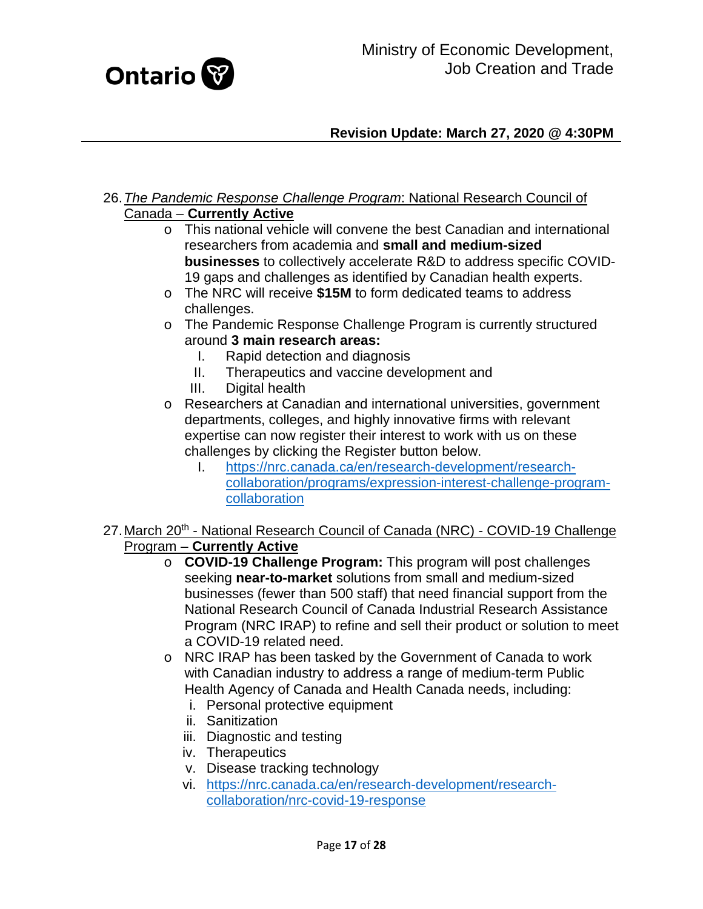

- <span id="page-16-0"></span>26.*The Pandemic Response Challenge Program*: National Research Council of Canada – **Currently Active**
	- o This national vehicle will convene the best Canadian and international researchers from academia and **small and medium-sized businesses** to collectively accelerate R&D to address specific COVID-19 gaps and challenges as identified by Canadian health experts.
	- o The NRC will receive **\$15M** to form dedicated teams to address challenges.
	- o The Pandemic Response Challenge Program is currently structured around **3 main research areas:**
		- Rapid detection and diagnosis
		- II. Therapeutics and vaccine development and
		- III. Digital health
	- o Researchers at Canadian and international universities, government departments, colleges, and highly innovative firms with relevant expertise can now register their interest to work with us on these challenges by clicking the Register button below.
		- I. [https://nrc.canada.ca/en/research-development/research](https://nrc.canada.ca/en/research-development/research-collaboration/programs/expression-interest-challenge-program-collaboration)[collaboration/programs/expression-interest-challenge-program](https://nrc.canada.ca/en/research-development/research-collaboration/programs/expression-interest-challenge-program-collaboration)[collaboration](https://nrc.canada.ca/en/research-development/research-collaboration/programs/expression-interest-challenge-program-collaboration)
- <span id="page-16-1"></span>27. March 20<sup>th</sup> - National Research Council of Canada (NRC) - COVID-19 Challenge Program – **Currently Active**
	- o **COVID-19 Challenge Program:** This program will post challenges seeking **near-to-market** solutions from small and medium-sized businesses (fewer than 500 staff) that need financial support from the National Research Council of Canada Industrial Research Assistance Program (NRC IRAP) to refine and sell their product or solution to meet a COVID-19 related need.
	- o NRC IRAP has been tasked by the Government of Canada to work with Canadian industry to address a range of medium-term Public Health Agency of Canada and Health Canada needs, including:
		- i. Personal protective equipment
		- ii. Sanitization
		- iii. Diagnostic and testing
		- iv. Therapeutics
		- v. Disease tracking technology
		- vi. [https://nrc.canada.ca/en/research-development/research](https://nrc.canada.ca/en/research-development/research-collaboration/nrc-covid-19-response)[collaboration/nrc-covid-19-response](https://nrc.canada.ca/en/research-development/research-collaboration/nrc-covid-19-response)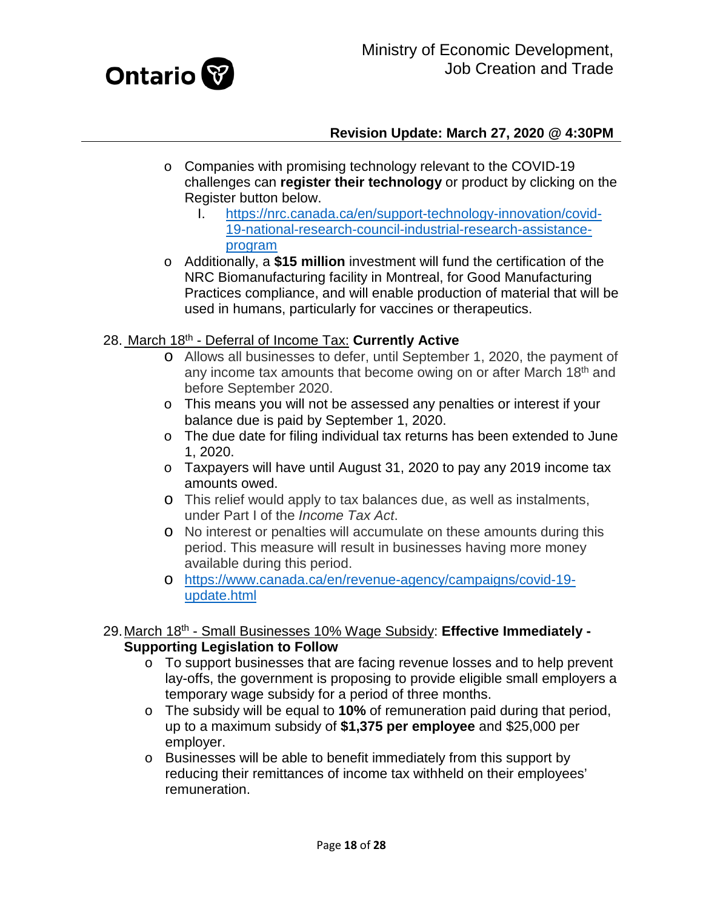

- o Companies with promising technology relevant to the COVID-19 challenges can **register their technology** or product by clicking on the Register button below.
	- I. [https://nrc.canada.ca/en/support-technology-innovation/covid-](https://nrc.canada.ca/en/support-technology-innovation/covid-19-national-research-council-industrial-research-assistance-program)[19-national-research-council-industrial-research-assistance](https://nrc.canada.ca/en/support-technology-innovation/covid-19-national-research-council-industrial-research-assistance-program)[program](https://nrc.canada.ca/en/support-technology-innovation/covid-19-national-research-council-industrial-research-assistance-program)
- o Additionally, a **\$15 million** investment will fund the certification of the NRC Biomanufacturing facility in Montreal, for Good Manufacturing Practices compliance, and will enable production of material that will be used in humans, particularly for vaccines or therapeutics.

#### <span id="page-17-0"></span>28. March 18th - Deferral of Income Tax: **Currently Active**

- o Allows all businesses to defer, until September 1, 2020, the payment of any income tax amounts that become owing on or after March 18<sup>th</sup> and before September 2020.
- o This means you will not be assessed any penalties or interest if your balance due is paid by September 1, 2020.
- o The due date for filing individual tax returns has been extended to June 1, 2020.
- o Taxpayers will have until August 31, 2020 to pay any 2019 income tax amounts owed.
- o This relief would apply to tax balances due, as well as instalments, under Part I of the *Income Tax Act*.
- o No interest or penalties will accumulate on these amounts during this period. This measure will result in businesses having more money available during this period.
- o [https://www.canada.ca/en/revenue-agency/campaigns/covid-19](https://www.canada.ca/en/revenue-agency/campaigns/covid-19-update.html) [update.html](https://www.canada.ca/en/revenue-agency/campaigns/covid-19-update.html)

#### <span id="page-17-1"></span>29.March 18th - Small Businesses 10% Wage Subsidy: **Effective Immediately - Supporting Legislation to Follow**

- $\circ$  To support businesses that are facing revenue losses and to help prevent lay-offs, the government is proposing to provide eligible small employers a temporary wage subsidy for a period of three months.
- o The subsidy will be equal to **10%** of remuneration paid during that period, up to a maximum subsidy of **\$1,375 per employee** and \$25,000 per employer.
- o Businesses will be able to benefit immediately from this support by reducing their remittances of income tax withheld on their employees' remuneration.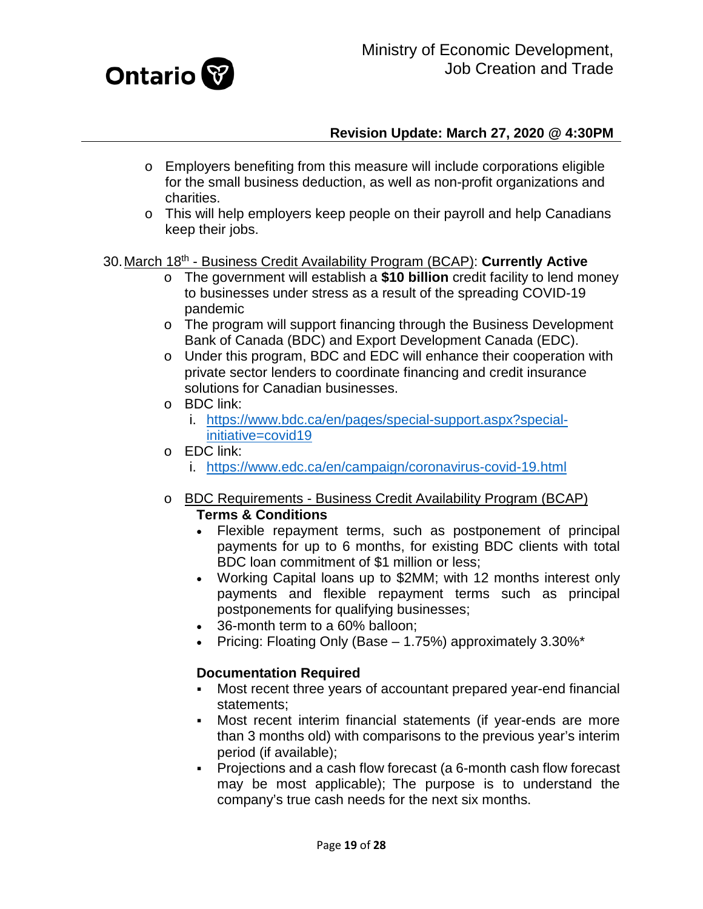

- o Employers benefiting from this measure will include corporations eligible for the small business deduction, as well as non-profit organizations and charities.
- o This will help employers keep people on their payroll and help Canadians keep their jobs.

#### 30.March 18th - Business Credit Availability Program (BCAP): **Currently Active**

- o The government will establish a **\$10 billion** credit facility to lend money to businesses under stress as a result of the spreading COVID-19 pandemic
- $\circ$  The program will support financing through the Business Development Bank of Canada (BDC) and Export Development Canada (EDC).
- o Under this program, BDC and EDC will enhance their cooperation with private sector lenders to coordinate financing and credit insurance solutions for Canadian businesses.
- o BDC link:
	- i. [https://www.bdc.ca/en/pages/special-support.aspx?special](https://www.bdc.ca/en/pages/special-support.aspx?special-initiative=covid19)[initiative=covid19](https://www.bdc.ca/en/pages/special-support.aspx?special-initiative=covid19)
- o EDC link:
	- i. <https://www.edc.ca/en/campaign/coronavirus-covid-19.html>
- o BDC Requirements Business Credit Availability Program (BCAP) **Terms & Conditions** 
	- Flexible repayment terms, such as postponement of principal payments for up to 6 months, for existing BDC clients with total BDC loan commitment of \$1 million or less;
	- Working Capital loans up to \$2MM; with 12 months interest only payments and flexible repayment terms such as principal postponements for qualifying businesses;
	- 36-month term to a 60% balloon;
	- Pricing: Floating Only (Base 1.75%) approximately 3.30%\*

#### **Documentation Required**

- Most recent three years of accountant prepared year-end financial statements;
- Most recent interim financial statements (if year-ends are more than 3 months old) with comparisons to the previous year's interim period (if available);
- Projections and a cash flow forecast (a 6-month cash flow forecast may be most applicable); The purpose is to understand the company's true cash needs for the next six months.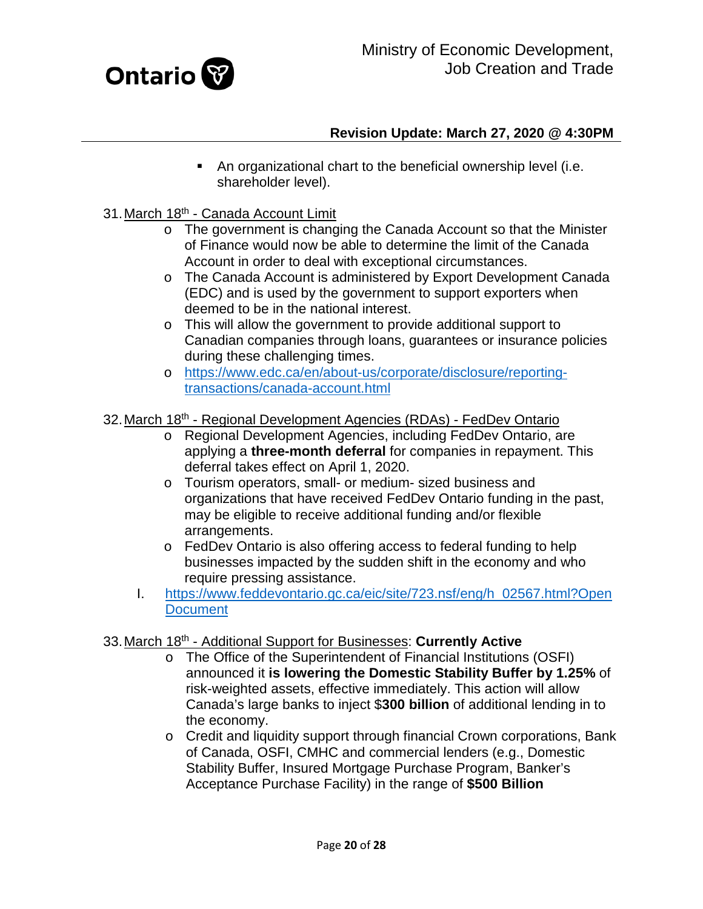

- An organizational chart to the beneficial ownership level (i.e. shareholder level).
- <span id="page-19-0"></span>31.March 18th - Canada Account Limit
	- o The government is changing the Canada Account so that the Minister of Finance would now be able to determine the limit of the Canada Account in order to deal with exceptional circumstances.
	- o The Canada Account is administered by Export Development Canada (EDC) and is used by the government to support exporters when deemed to be in the national interest.
	- o This will allow the government to provide additional support to Canadian companies through loans, guarantees or insurance policies during these challenging times.
	- o [https://www.edc.ca/en/about-us/corporate/disclosure/reporting](https://www.edc.ca/en/about-us/corporate/disclosure/reporting-transactions/canada-account.html)[transactions/canada-account.html](https://www.edc.ca/en/about-us/corporate/disclosure/reporting-transactions/canada-account.html)

#### <span id="page-19-1"></span>32.March 18th - Regional Development Agencies (RDAs) - FedDev Ontario

- o Regional Development Agencies, including FedDev Ontario, are applying a **three-month deferral** for companies in repayment. This deferral takes effect on April 1, 2020.
- o Tourism operators, small- or medium- sized business and organizations that have received FedDev Ontario funding in the past, may be eligible to receive additional funding and/or flexible arrangements.
- o FedDev Ontario is also offering access to federal funding to help businesses impacted by the sudden shift in the economy and who require pressing assistance.
- I. [https://www.feddevontario.gc.ca/eic/site/723.nsf/eng/h\\_02567.html?Open](https://www.feddevontario.gc.ca/eic/site/723.nsf/eng/h_02567.html?OpenDocument) **[Document](https://www.feddevontario.gc.ca/eic/site/723.nsf/eng/h_02567.html?OpenDocument)**

#### <span id="page-19-2"></span>33.March 18th - Additional Support for Businesses: **Currently Active**

- o The Office of the Superintendent of Financial Institutions (OSFI) announced it **is lowering the Domestic Stability Buffer by 1.25%** of risk-weighted assets, effective immediately. This action will allow Canada's large banks to inject \$**300 billion** of additional lending in to the economy.
- $\circ$  Credit and liquidity support through financial Crown corporations, Bank of Canada, OSFI, CMHC and commercial lenders (e.g., Domestic Stability Buffer, Insured Mortgage Purchase Program, Banker's Acceptance Purchase Facility) in the range of **\$500 Billion**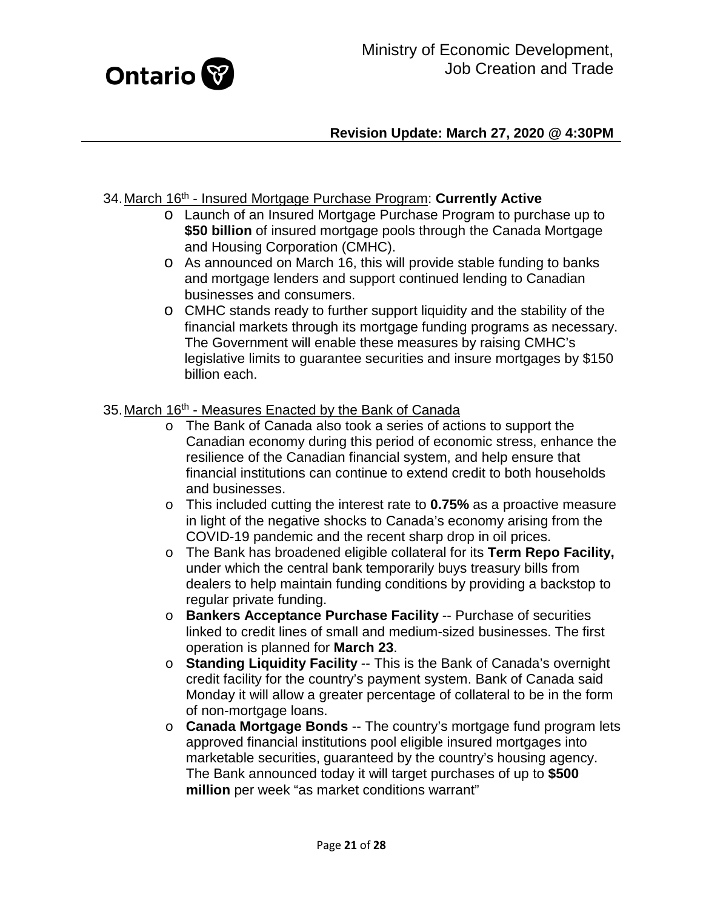

#### <span id="page-20-0"></span>34.March 16th - Insured Mortgage Purchase Program: **Currently Active**

- o Launch of an Insured Mortgage Purchase Program to purchase up to **\$50 billion** of insured mortgage pools through the Canada Mortgage and Housing Corporation (CMHC).
- o As announced on March 16, this will provide stable funding to banks and mortgage lenders and support continued lending to Canadian businesses and consumers.
- o CMHC stands ready to further support liquidity and the stability of the financial markets through its mortgage funding programs as necessary. The Government will enable these measures by raising CMHC's legislative limits to guarantee securities and insure mortgages by \$150 billion each.

#### <span id="page-20-1"></span>35. March 16<sup>th</sup> - Measures Enacted by the Bank of Canada

- o The Bank of Canada also took a series of actions to support the Canadian economy during this period of economic stress, enhance the resilience of the Canadian financial system, and help ensure that financial institutions can continue to extend credit to both households and businesses.
- o This included cutting the interest rate to **0.75%** as a proactive measure in light of the negative shocks to Canada's economy arising from the COVID-19 pandemic and the recent sharp drop in oil prices.
- o The Bank has broadened eligible collateral for its **Term Repo Facility,**  under which the central bank temporarily buys treasury bills from dealers to help maintain funding conditions by providing a backstop to regular private funding.
- o **Bankers Acceptance Purchase Facility** -- Purchase of securities linked to credit lines of small and medium-sized businesses. The first operation is planned for **March 23**.
- o **Standing Liquidity Facility** -- This is the Bank of Canada's overnight credit facility for the country's payment system. Bank of Canada said Monday it will allow a greater percentage of collateral to be in the form of non-mortgage loans.
- o **Canada Mortgage Bonds** -- The country's mortgage fund program lets approved financial institutions pool eligible insured mortgages into marketable securities, guaranteed by the country's housing agency. The Bank announced today it will target purchases of up to **\$500 million** per week "as market conditions warrant"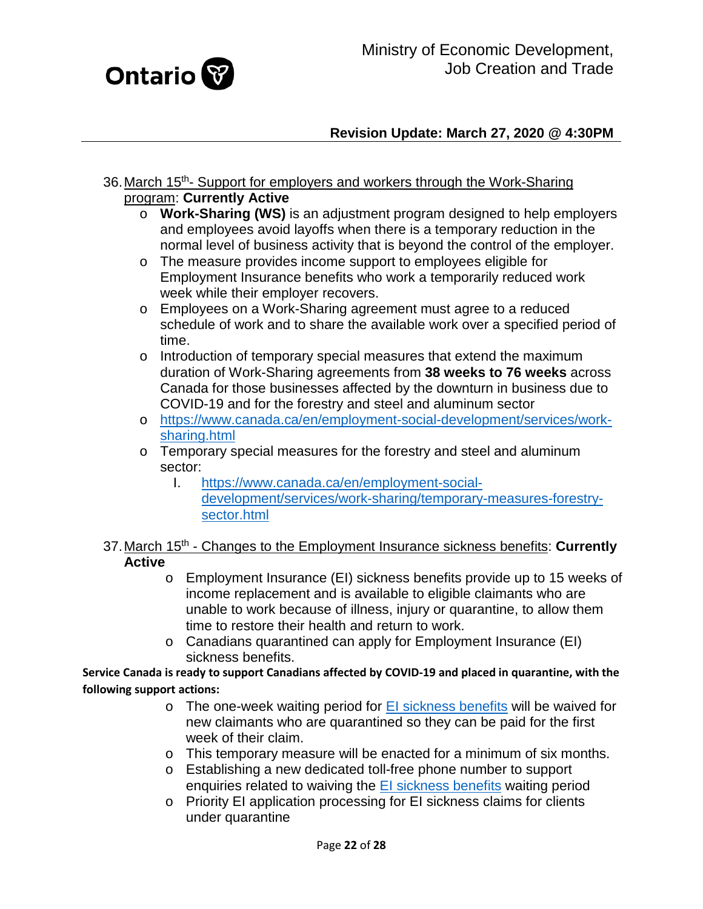

- <span id="page-21-0"></span>36. March 15<sup>th</sup>- Support for employers and workers through the Work-Sharing program: **Currently Active**
	- o **Work-Sharing (WS)** is an adjustment program designed to help employers and employees avoid layoffs when there is a temporary reduction in the normal level of business activity that is beyond the control of the employer.
	- o The measure provides income support to employees eligible for Employment Insurance benefits who work a temporarily reduced work week while their employer recovers.
	- o Employees on a Work-Sharing agreement must agree to a reduced schedule of work and to share the available work over a specified period of time.
	- o Introduction of temporary special measures that extend the maximum duration of Work-Sharing agreements from **38 weeks to 76 weeks** across Canada for those businesses affected by the downturn in business due to COVID-19 and for the forestry and steel and aluminum sector
	- o [https://www.canada.ca/en/employment-social-development/services/work](https://www.canada.ca/en/employment-social-development/services/work-sharing.html)[sharing.html](https://www.canada.ca/en/employment-social-development/services/work-sharing.html)
	- o Temporary special measures for the forestry and steel and aluminum sector:
		- I. [https://www.canada.ca/en/employment-social](https://www.canada.ca/en/employment-social-development/services/work-sharing/temporary-measures-forestry-sector.html)[development/services/work-sharing/temporary-measures-forestry](https://www.canada.ca/en/employment-social-development/services/work-sharing/temporary-measures-forestry-sector.html)[sector.html](https://www.canada.ca/en/employment-social-development/services/work-sharing/temporary-measures-forestry-sector.html)
- <span id="page-21-1"></span>37.March 15th - Changes to the Employment Insurance sickness benefits: **Currently Active**
	- o Employment Insurance (EI) sickness benefits provide up to 15 weeks of income replacement and is available to eligible claimants who are unable to work because of illness, injury or quarantine, to allow them time to restore their health and return to work.
	- o Canadians quarantined can apply for Employment Insurance (EI) sickness benefits.

**Service Canada is ready to support Canadians affected by COVID-19 and placed in quarantine, with the following support actions:**

- $\circ$  The one-week waiting period for  $E1$  sickness benefits will be waived for new claimants who are quarantined so they can be paid for the first week of their claim.
- o This temporary measure will be enacted for a minimum of six months.
- o Establishing a new dedicated toll-free phone number to support enquiries related to waiving the [EI sickness benefits](https://www.canada.ca/en/services/benefits/ei/ei-sickness.html) waiting period
- o Priority EI application processing for EI sickness claims for clients under quarantine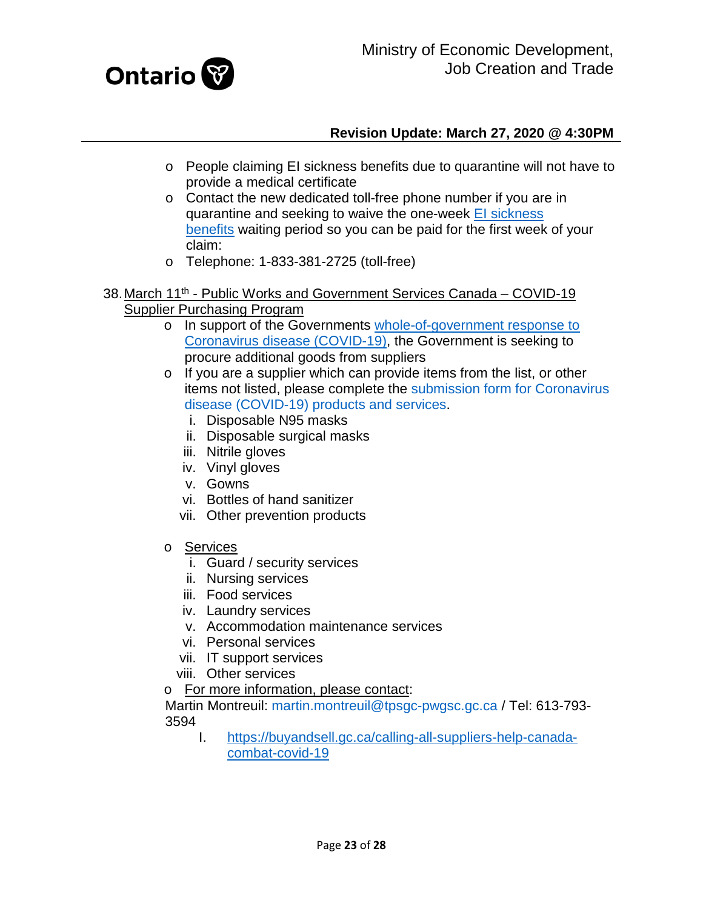

- o People claiming EI sickness benefits due to quarantine will not have to provide a medical certificate
- o Contact the new dedicated toll-free phone number if you are in quarantine and seeking to waive the one-week El sickness [benefits](https://www.canada.ca/en/services/benefits/ei/ei-sickness.html) waiting period so you can be paid for the first week of your claim:
- o Telephone: 1-833-381-2725 (toll-free)
- <span id="page-22-0"></span>38. March 11<sup>th</sup> - Public Works and Government Services Canada – COVID-19 Supplier Purchasing Program
	- o In support of the Governments [whole-of-government response to](https://pm.gc.ca/en/news/news-releases/2020/03/11/prime-minister-outlines-canadas-covid-19-response)  [Coronavirus disease \(COVID-19\),](https://pm.gc.ca/en/news/news-releases/2020/03/11/prime-minister-outlines-canadas-covid-19-response) the Government is seeking to procure additional goods from suppliers
	- o If you are a supplier which can provide items from the list, or other items not listed, please complete the [submission form for Coronavirus](https://buyandsell.gc.ca/forms/help-canada-combat-covid-19-submission-form)  [disease \(COVID-19\) products and services.](https://buyandsell.gc.ca/forms/help-canada-combat-covid-19-submission-form)
		- i. Disposable N95 masks
		- ii. Disposable surgical masks
		- iii. Nitrile gloves
		- iv. Vinyl gloves
		- v. Gowns
		- vi. Bottles of hand sanitizer
		- vii. Other prevention products
	- o Services
		- i. Guard / security services
		- ii. Nursing services
		- iii. Food services
		- iv. Laundry services
		- v. Accommodation maintenance services
		- vi. Personal services
		- vii. IT support services
		- viii. Other services
	- o For more information, please contact:

Martin Montreuil: [martin.montreuil@tpsgc-pwgsc.gc.ca](mailto:martin.montreuil@tpsgc-pwgsc.gc.ca) / Tel: 613-793- 3594

I. [https://buyandsell.gc.ca/calling-all-suppliers-help-canada](https://buyandsell.gc.ca/calling-all-suppliers-help-canada-combat-covid-19)[combat-covid-19](https://buyandsell.gc.ca/calling-all-suppliers-help-canada-combat-covid-19)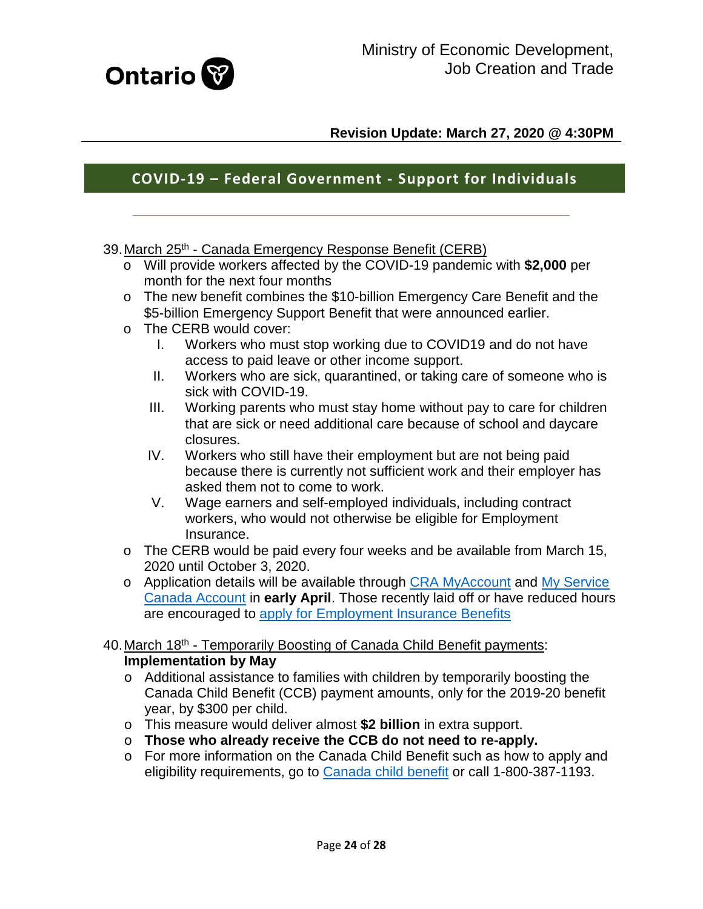

# **COVID-19 – Federal Government - Support for Individuals**

- <span id="page-23-0"></span>39. March 25<sup>th</sup> - Canada Emergency Response Benefit (CERB)
	- o Will provide workers affected by the COVID-19 pandemic with **\$2,000** per month for the next four months
	- o The new benefit combines the \$10-billion Emergency Care Benefit and the \$5-billion Emergency Support Benefit that were announced earlier.
	- o The CERB would cover:<br>I. Workers who mus
		- Workers who must stop working due to COVID19 and do not have access to paid leave or other income support.
		- II. Workers who are sick, quarantined, or taking care of someone who is sick with COVID-19.
		- III. Working parents who must stay home without pay to care for children that are sick or need additional care because of school and daycare closures.
		- IV. Workers who still have their employment but are not being paid because there is currently not sufficient work and their employer has asked them not to come to work.
		- V. Wage earners and self-employed individuals, including contract workers, who would not otherwise be eligible for Employment Insurance.
	- o The CERB would be paid every four weeks and be available from March 15, 2020 until October 3, 2020.
	- o Application details will be available through [CRA MyAccount](https://can01.safelinks.protection.outlook.com/?url=https%3A%2F%2Fwww.canada.ca%2Fen%2Frevenue-agency%2Fservices%2Fe-services%2Fe-services-individuals%2Faccount-individuals.html&data=02%7C01%7CClaude.Myre%40ontario.ca%7C128de6d256284d30332808d7d1bcae82%7Ccddc1229ac2a4b97b78a0e5cacb5865c%7C0%7C0%7C637208480617924739&sdata=OkyRsG28Lf2noe1jG8H5r1h0RgwTKoGlpwbTqOXeZNA%3D&reserved=0) and [My Service](https://can01.safelinks.protection.outlook.com/?url=https%3A%2F%2Fwww.canada.ca%2Fen%2Femployment-social-development%2Fservices%2Fmy-account.html&data=02%7C01%7CClaude.Myre%40ontario.ca%7C128de6d256284d30332808d7d1bcae82%7Ccddc1229ac2a4b97b78a0e5cacb5865c%7C0%7C0%7C637208480617934735&sdata=MyRfDjJfn%2B3xGVekuq%2B6C45STC9VuJz9jC42UHvVE4s%3D&reserved=0)  [Canada Account](https://can01.safelinks.protection.outlook.com/?url=https%3A%2F%2Fwww.canada.ca%2Fen%2Femployment-social-development%2Fservices%2Fmy-account.html&data=02%7C01%7CClaude.Myre%40ontario.ca%7C128de6d256284d30332808d7d1bcae82%7Ccddc1229ac2a4b97b78a0e5cacb5865c%7C0%7C0%7C637208480617934735&sdata=MyRfDjJfn%2B3xGVekuq%2B6C45STC9VuJz9jC42UHvVE4s%3D&reserved=0) in **early April**. Those recently laid off or have reduced hours are encouraged to [apply for Employment Insurance Benefits](https://can01.safelinks.protection.outlook.com/?url=https%3A%2F%2Fwww.canada.ca%2Fen%2Fservices%2Fbenefits%2Fei%2Fei-regular-benefit%2Fapply.html&data=02%7C01%7CClaude.Myre%40ontario.ca%7C128de6d256284d30332808d7d1bcae82%7Ccddc1229ac2a4b97b78a0e5cacb5865c%7C0%7C0%7C637208480617934735&sdata=snWBR0VIoUJZKUHCDNdA2HJ1OI5kCnAzzeEGsDNp7p8%3D&reserved=0)

#### <span id="page-23-1"></span>40. March 18<sup>th</sup> - Temporarily Boosting of Canada Child Benefit payments: **Implementation by May**

- o Additional assistance to families with children by temporarily boosting the Canada Child Benefit (CCB) payment amounts, only for the 2019-20 benefit year, by \$300 per child.
- o This measure would deliver almost **\$2 billion** in extra support.
- o **Those who already receive the CCB do not need to re-apply.**
- o For more information on the Canada Child Benefit such as how to apply and eligibility requirements, go to [Canada child benefit](https://www.canada.ca/en/revenue-agency/services/child-family-benefits/canada-child-benefit-overview.html) or call 1-800-387-1193.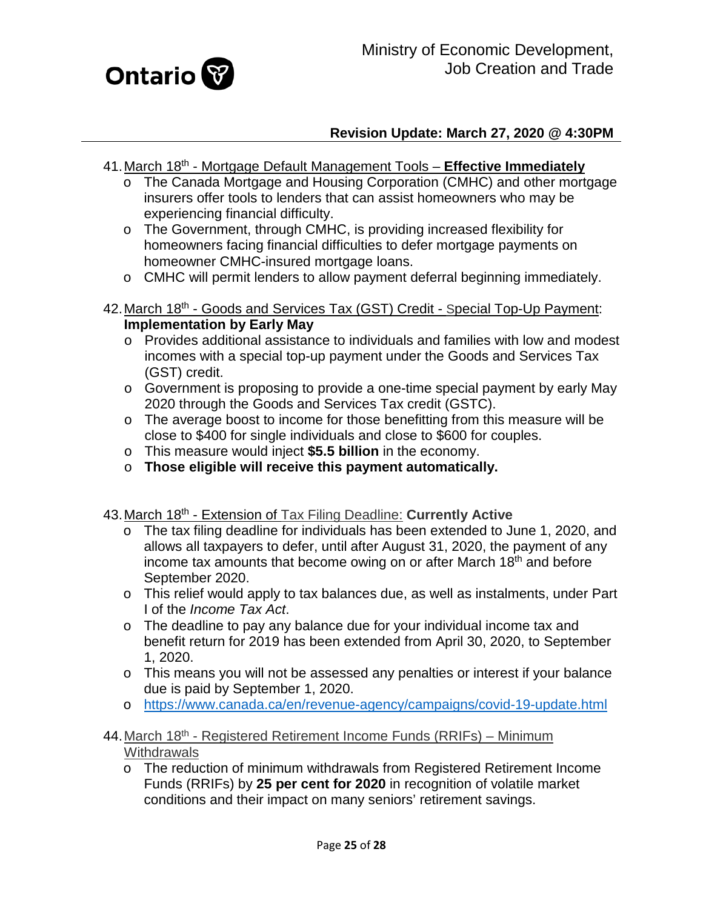

- <span id="page-24-0"></span>41.March 18th - Mortgage Default Management Tools – **Effective Immediately**
	- o The Canada Mortgage and Housing Corporation (CMHC) and other mortgage insurers offer tools to lenders that can assist homeowners who may be experiencing financial difficulty.
	- o The Government, through CMHC, is providing increased flexibility for homeowners facing financial difficulties to defer mortgage payments on homeowner CMHC-insured mortgage loans.
	- o CMHC will permit lenders to allow payment deferral beginning immediately.
- <span id="page-24-1"></span>42. March 18<sup>th</sup> - Goods and Services Tax (GST) Credit - Special Top-Up Payment: **Implementation by Early May**
	- o Provides additional assistance to individuals and families with low and modest incomes with a special top-up payment under the Goods and Services Tax (GST) credit.
	- o Government is proposing to provide a one-time special payment by early May 2020 through the Goods and Services Tax credit (GSTC).
	- o The average boost to income for those benefitting from this measure will be close to \$400 for single individuals and close to \$600 for couples.
	- o This measure would inject **\$5.5 billion** in the economy.
	- o **Those eligible will receive this payment automatically.**
- <span id="page-24-2"></span>43. March 18<sup>th</sup> - Extension of Tax Filing Deadline: **Currently Active** 
	- o The tax filing deadline for individuals has been extended to June 1, 2020, and allows all taxpayers to defer, until after August 31, 2020, the payment of any income tax amounts that become owing on or after March 18<sup>th</sup> and before September 2020.
	- o This relief would apply to tax balances due, as well as instalments, under Part I of the *Income Tax Act*.
	- o The deadline to pay any balance due for your individual income tax and benefit return for 2019 has been extended from April 30, 2020, to September 1, 2020.
	- o This means you will not be assessed any penalties or interest if your balance due is paid by September 1, 2020.
	- o <https://www.canada.ca/en/revenue-agency/campaigns/covid-19-update.html>
- <span id="page-24-3"></span>44. March  $18<sup>th</sup>$  - Registered Retirement Income Funds (RRIFs) – Minimum **Withdrawals** 
	- o The reduction of minimum withdrawals from Registered Retirement Income Funds (RRIFs) by **25 per cent for 2020** in recognition of volatile market conditions and their impact on many seniors' retirement savings.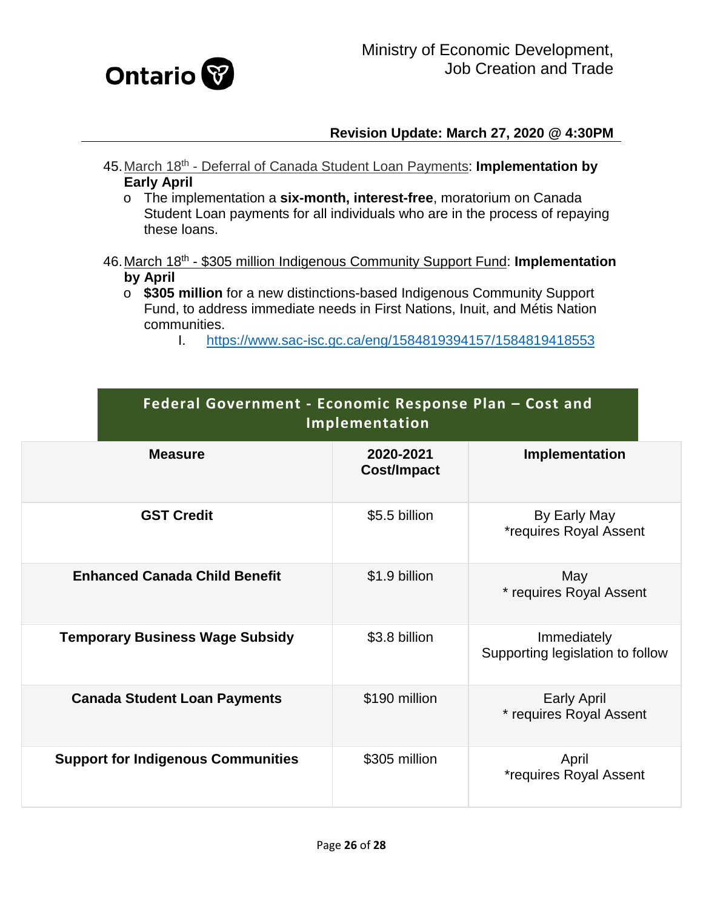

- <span id="page-25-0"></span>45.March 18th - Deferral of Canada Student Loan Payments: **Implementation by Early April**
	- o The implementation a **six-month, interest-free**, moratorium on Canada Student Loan payments for all individuals who are in the process of repaying these loans.

#### <span id="page-25-1"></span>46.March 18th - \$305 million Indigenous Community Support Fund: **Implementation by April**

- o **\$305 million** for a new distinctions-based Indigenous Community Support Fund, to address immediate needs in First Nations, Inuit, and Métis Nation communities.
	- I. <https://www.sac-isc.gc.ca/eng/1584819394157/1584819418553>

| Federal Government - Economic Response Plan - Cost and<br>Implementation |                                 |                                                 |  |
|--------------------------------------------------------------------------|---------------------------------|-------------------------------------------------|--|
| <b>Measure</b>                                                           | 2020-2021<br><b>Cost/Impact</b> | Implementation                                  |  |
| <b>GST Credit</b>                                                        | \$5.5 billion                   | By Early May<br><i>*requires Royal Assent</i>   |  |
| <b>Enhanced Canada Child Benefit</b>                                     | \$1.9 billion                   | May<br>* requires Royal Assent                  |  |
| <b>Temporary Business Wage Subsidy</b>                                   | \$3.8 billion                   | Immediately<br>Supporting legislation to follow |  |
| <b>Canada Student Loan Payments</b>                                      | \$190 million                   | <b>Early April</b><br>* requires Royal Assent   |  |
| <b>Support for Indigenous Communities</b>                                | \$305 million                   | April<br><i>*requires Royal Assent</i>          |  |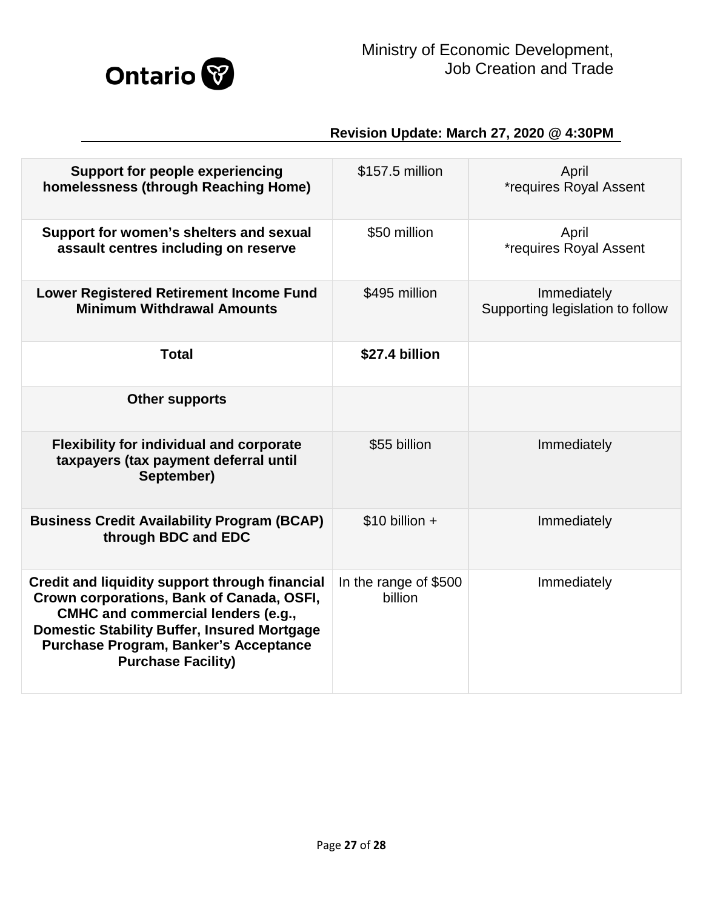

| <b>Support for people experiencing</b><br>homelessness (through Reaching Home)                                                                                                                                                                                       | \$157.5 million                  | April<br><i>*requires Royal Assent</i>          |
|----------------------------------------------------------------------------------------------------------------------------------------------------------------------------------------------------------------------------------------------------------------------|----------------------------------|-------------------------------------------------|
| Support for women's shelters and sexual<br>assault centres including on reserve                                                                                                                                                                                      | \$50 million                     | April<br><i>*requires Royal Assent</i>          |
| <b>Lower Registered Retirement Income Fund</b><br><b>Minimum Withdrawal Amounts</b>                                                                                                                                                                                  | \$495 million                    | Immediately<br>Supporting legislation to follow |
| <b>Total</b>                                                                                                                                                                                                                                                         | \$27.4 billion                   |                                                 |
| <b>Other supports</b>                                                                                                                                                                                                                                                |                                  |                                                 |
| <b>Flexibility for individual and corporate</b><br>taxpayers (tax payment deferral until<br>September)                                                                                                                                                               | \$55 billion                     | Immediately                                     |
| <b>Business Credit Availability Program (BCAP)</b><br>through BDC and EDC                                                                                                                                                                                            | $$10$ billion +                  | Immediately                                     |
| Credit and liquidity support through financial<br>Crown corporations, Bank of Canada, OSFI,<br><b>CMHC and commercial lenders (e.g.,</b><br><b>Domestic Stability Buffer, Insured Mortgage</b><br>Purchase Program, Banker's Acceptance<br><b>Purchase Facility)</b> | In the range of \$500<br>billion | Immediately                                     |